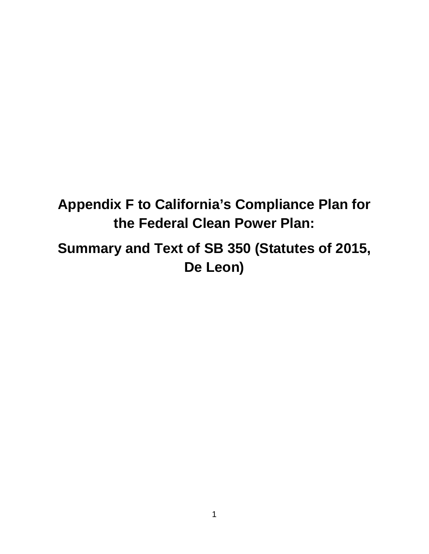# **Appendix F to California's Compliance Plan for the Federal Clean Power Plan:**

**Summary and Text of SB 350 (Statutes of 2015, De Leon)**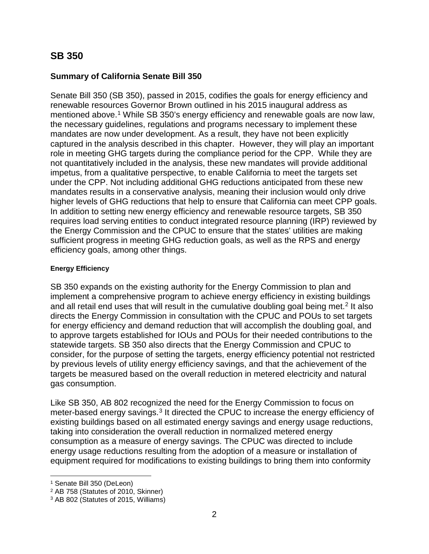### **SB 350**

### **Summary of California Senate Bill 350**

Senate Bill 350 (SB 350), passed in 2015, codifies the goals for energy efficiency and renewable resources Governor Brown outlined in his 2015 inaugural address as mentioned above.<sup>[1](#page-1-0)</sup> While SB 350's energy efficiency and renewable goals are now law, the necessary guidelines, regulations and programs necessary to implement these mandates are now under development. As a result, they have not been explicitly captured in the analysis described in this chapter. However, they will play an important role in meeting GHG targets during the compliance period for the CPP. While they are not quantitatively included in the analysis, these new mandates will provide additional impetus, from a qualitative perspective, to enable California to meet the targets set under the CPP. Not including additional GHG reductions anticipated from these new mandates results in a conservative analysis, meaning their inclusion would only drive higher levels of GHG reductions that help to ensure that California can meet CPP goals. In addition to setting new energy efficiency and renewable resource targets, SB 350 requires load serving entities to conduct integrated resource planning (IRP) reviewed by the Energy Commission and the CPUC to ensure that the states' utilities are making sufficient progress in meeting GHG reduction goals, as well as the RPS and energy efficiency goals, among other things.

### **Energy Efficiency**

SB 350 expands on the existing authority for the Energy Commission to plan and implement a comprehensive program to achieve energy efficiency in existing buildings and all retail end uses that will result in the cumulative doubling goal being met.<sup>[2](#page-1-1)</sup> It also directs the Energy Commission in consultation with the CPUC and POUs to set targets for energy efficiency and demand reduction that will accomplish the doubling goal, and to approve targets established for IOUs and POUs for their needed contributions to the statewide targets. SB 350 also directs that the Energy Commission and CPUC to consider, for the purpose of setting the targets, energy efficiency potential not restricted by previous levels of utility energy efficiency savings, and that the achievement of the targets be measured based on the overall reduction in metered electricity and natural gas consumption.

Like SB 350, AB 802 recognized the need for the Energy Commission to focus on meter-based energy savings.<sup>[3](#page-1-2)</sup> It directed the CPUC to increase the energy efficiency of existing buildings based on all estimated energy savings and energy usage reductions, taking into consideration the overall reduction in normalized metered energy consumption as a measure of energy savings. The CPUC was directed to include energy usage reductions resulting from the adoption of a measure or installation of equipment required for modifications to existing buildings to bring them into conformity

 $\overline{a}$ <sup>1</sup> Senate Bill 350 (DeLeon)

<span id="page-1-1"></span><span id="page-1-0"></span><sup>2</sup> AB 758 (Statutes of 2010, Skinner)

<span id="page-1-2"></span><sup>3</sup> AB 802 (Statutes of 2015, Williams)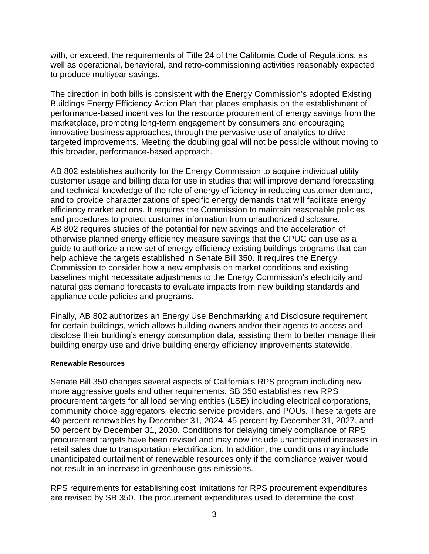with, or exceed, the requirements of Title 24 of the California Code of Regulations, as well as operational, behavioral, and retro-commissioning activities reasonably expected to produce multiyear savings.

The direction in both bills is consistent with the Energy Commission's adopted Existing Buildings Energy Efficiency Action Plan that places emphasis on the establishment of performance-based incentives for the resource procurement of energy savings from the marketplace, promoting long-term engagement by consumers and encouraging innovative business approaches, through the pervasive use of analytics to drive targeted improvements. Meeting the doubling goal will not be possible without moving to this broader, performance-based approach.

AB 802 establishes authority for the Energy Commission to acquire individual utility customer usage and billing data for use in studies that will improve demand forecasting, and technical knowledge of the role of energy efficiency in reducing customer demand, and to provide characterizations of specific energy demands that will facilitate energy efficiency market actions. It requires the Commission to maintain reasonable policies and procedures to protect customer information from unauthorized disclosure. AB 802 requires studies of the potential for new savings and the acceleration of otherwise planned energy efficiency measure savings that the CPUC can use as a guide to authorize a new set of energy efficiency existing buildings programs that can help achieve the targets established in Senate Bill 350. It requires the Energy Commission to consider how a new emphasis on market conditions and existing baselines might necessitate adjustments to the Energy Commission's electricity and natural gas demand forecasts to evaluate impacts from new building standards and appliance code policies and programs.

Finally, AB 802 authorizes an Energy Use Benchmarking and Disclosure requirement for certain buildings, which allows building owners and/or their agents to access and disclose their building's energy consumption data, assisting them to better manage their building energy use and drive building energy efficiency improvements statewide.

#### **Renewable Resources**

Senate Bill 350 changes several aspects of California's RPS program including new more aggressive goals and other requirements. SB 350 establishes new RPS procurement targets for all load serving entities (LSE) including electrical corporations, community choice aggregators, electric service providers, and POUs. These targets are 40 percent renewables by December 31, 2024, 45 percent by December 31, 2027, and 50 percent by December 31, 2030. Conditions for delaying timely compliance of RPS procurement targets have been revised and may now include unanticipated increases in retail sales due to transportation electrification. In addition, the conditions may include unanticipated curtailment of renewable resources only if the compliance waiver would not result in an increase in greenhouse gas emissions.

RPS requirements for establishing cost limitations for RPS procurement expenditures are revised by SB 350. The procurement expenditures used to determine the cost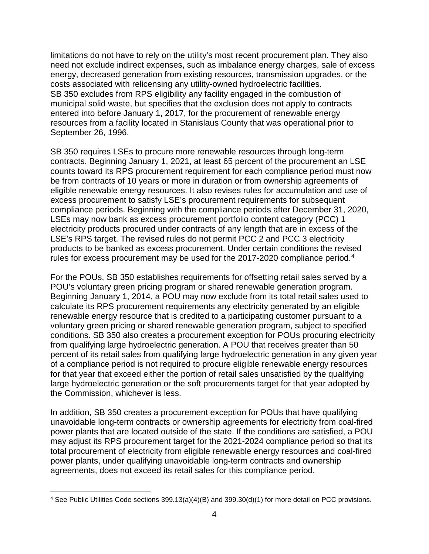limitations do not have to rely on the utility's most recent procurement plan. They also need not exclude indirect expenses, such as imbalance energy charges, sale of excess energy, decreased generation from existing resources, transmission upgrades, or the costs associated with relicensing any utility-owned hydroelectric facilities. SB 350 excludes from RPS eligibility any facility engaged in the combustion of municipal solid waste, but specifies that the exclusion does not apply to contracts entered into before January 1, 2017, for the procurement of renewable energy resources from a facility located in Stanislaus County that was operational prior to September 26, 1996.

SB 350 requires LSEs to procure more renewable resources through long-term contracts. Beginning January 1, 2021, at least 65 percent of the procurement an LSE counts toward its RPS procurement requirement for each compliance period must now be from contracts of 10 years or more in duration or from ownership agreements of eligible renewable energy resources. It also revises rules for accumulation and use of excess procurement to satisfy LSE's procurement requirements for subsequent compliance periods. Beginning with the compliance periods after December 31, 2020, LSEs may now bank as excess procurement portfolio content category (PCC) 1 electricity products procured under contracts of any length that are in excess of the LSE's RPS target. The revised rules do not permit PCC 2 and PCC 3 electricity products to be banked as excess procurement. Under certain conditions the revised rules for excess procurement may be used for the 2017-2020 compliance period.<sup>[4](#page-3-0)</sup>

For the POUs, SB 350 establishes requirements for offsetting retail sales served by a POU's voluntary green pricing program or shared renewable generation program. Beginning January 1, 2014, a POU may now exclude from its total retail sales used to calculate its RPS procurement requirements any electricity generated by an eligible renewable energy resource that is credited to a participating customer pursuant to a voluntary green pricing or shared renewable generation program, subject to specified conditions. SB 350 also creates a procurement exception for POUs procuring electricity from qualifying large hydroelectric generation. A POU that receives greater than 50 percent of its retail sales from qualifying large hydroelectric generation in any given year of a compliance period is not required to procure eligible renewable energy resources for that year that exceed either the portion of retail sales unsatisfied by the qualifying large hydroelectric generation or the soft procurements target for that year adopted by the Commission, whichever is less.

In addition, SB 350 creates a procurement exception for POUs that have qualifying unavoidable long-term contracts or ownership agreements for electricity from coal-fired power plants that are located outside of the state. If the conditions are satisfied, a POU may adjust its RPS procurement target for the 2021-2024 compliance period so that its total procurement of electricity from eligible renewable energy resources and coal-fired power plants, under qualifying unavoidable long-term contracts and ownership agreements, does not exceed its retail sales for this compliance period.

<span id="page-3-0"></span> <sup>4</sup> See Public Utilities Code sections 399.13(a)(4)(B) and 399.30(d)(1) for more detail on PCC provisions.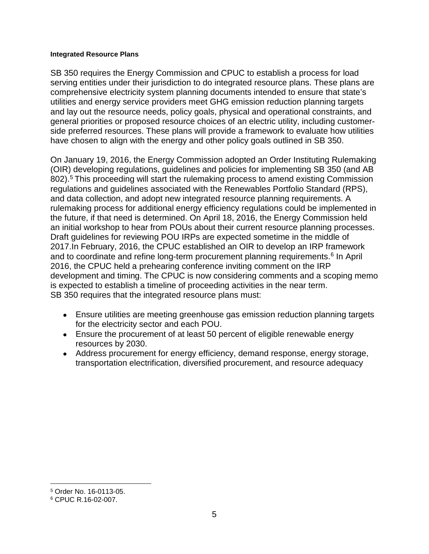#### **Integrated Resource Plans**

SB 350 requires the Energy Commission and CPUC to establish a process for load serving entities under their jurisdiction to do integrated resource plans. These plans are comprehensive electricity system planning documents intended to ensure that state's utilities and energy service providers meet GHG emission reduction planning targets and lay out the resource needs, policy goals, physical and operational constraints, and general priorities or proposed resource choices of an electric utility, including customerside preferred resources. These plans will provide a framework to evaluate how utilities have chosen to align with the energy and other policy goals outlined in SB 350.

On January 19, 2016, the Energy Commission adopted an Order Instituting Rulemaking (OIR) developing regulations, guidelines and policies for implementing SB 350 (and AB 802).<sup>[5](#page-4-0)</sup> This proceeding will start the rulemaking process to amend existing Commission regulations and guidelines associated with the Renewables Portfolio Standard (RPS), and data collection, and adopt new integrated resource planning requirements. A rulemaking process for additional energy efficiency regulations could be implemented in the future, if that need is determined. On April 18, 2016, the Energy Commission held an initial workshop to hear from POUs about their current resource planning processes. Draft guidelines for reviewing POU IRPs are expected sometime in the middle of 2017.In February, 2016, the CPUC established an OIR to develop an IRP framework and to coordinate and refine long-term procurement planning requirements.<sup>[6](#page-4-1)</sup> In April 2016, the CPUC held a prehearing conference inviting comment on the IRP development and timing. The CPUC is now considering comments and a scoping memo is expected to establish a timeline of proceeding activities in the near term. SB 350 requires that the integrated resource plans must:

- Ensure utilities are meeting greenhouse gas emission reduction planning targets for the electricity sector and each POU.
- Ensure the procurement of at least 50 percent of eligible renewable energy resources by 2030.
- Address procurement for energy efficiency, demand response, energy storage, transportation electrification, diversified procurement, and resource adequacy

 $\overline{a}$ 

<span id="page-4-0"></span><sup>5</sup> Order No. 16-0113-05.

<span id="page-4-1"></span><sup>6</sup> CPUC R.16-02-007.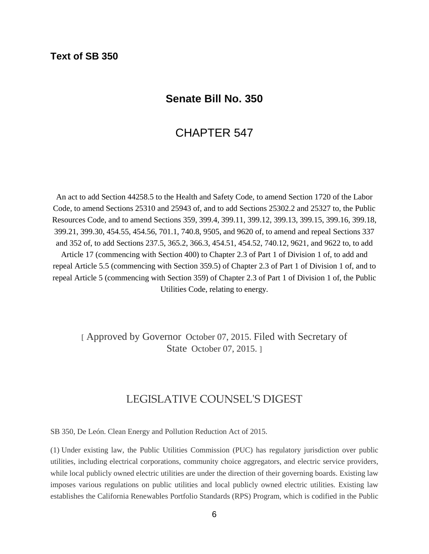### **Text of SB 350**

### **Senate Bill No. 350**

### CHAPTER 547

An act to add Section 44258.5 to the Health and Safety Code, to amend Section 1720 of the Labor Code, to amend Sections 25310 and 25943 of, and to add Sections 25302.2 and 25327 to, the Public Resources Code, and to amend Sections 359, 399.4, 399.11, 399.12, 399.13, 399.15, 399.16, 399.18, 399.21, 399.30, 454.55, 454.56, 701.1, 740.8, 9505, and 9620 of, to amend and repeal Sections 337 and 352 of, to add Sections 237.5, 365.2, 366.3, 454.51, 454.52, 740.12, 9621, and 9622 to, to add Article 17 (commencing with Section 400) to Chapter 2.3 of Part 1 of Division 1 of, to add and repeal Article 5.5 (commencing with Section 359.5) of Chapter 2.3 of Part 1 of Division 1 of, and to repeal Article 5 (commencing with Section 359) of Chapter 2.3 of Part 1 of Division 1 of, the Public Utilities Code, relating to energy.

[ Approved by Governor October 07, 2015. Filed with Secretary of State October 07, 2015. ]

### LEGISLATIVE COUNSEL'S DIGEST

SB 350, De León. Clean Energy and Pollution Reduction Act of 2015.

(1) Under existing law, the Public Utilities Commission (PUC) has regulatory jurisdiction over public utilities, including electrical corporations, community choice aggregators, and electric service providers, while local publicly owned electric utilities are under the direction of their governing boards. Existing law imposes various regulations on public utilities and local publicly owned electric utilities. Existing law establishes the California Renewables Portfolio Standards (RPS) Program, which is codified in the Public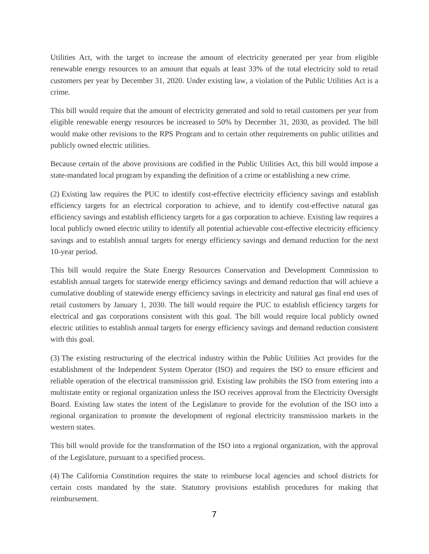Utilities Act, with the target to increase the amount of electricity generated per year from eligible renewable energy resources to an amount that equals at least 33% of the total electricity sold to retail customers per year by December 31, 2020. Under existing law, a violation of the Public Utilities Act is a crime.

This bill would require that the amount of electricity generated and sold to retail customers per year from eligible renewable energy resources be increased to 50% by December 31, 2030, as provided. The bill would make other revisions to the RPS Program and to certain other requirements on public utilities and publicly owned electric utilities.

Because certain of the above provisions are codified in the Public Utilities Act, this bill would impose a state-mandated local program by expanding the definition of a crime or establishing a new crime.

(2) Existing law requires the PUC to identify cost-effective electricity efficiency savings and establish efficiency targets for an electrical corporation to achieve, and to identify cost-effective natural gas efficiency savings and establish efficiency targets for a gas corporation to achieve. Existing law requires a local publicly owned electric utility to identify all potential achievable cost-effective electricity efficiency savings and to establish annual targets for energy efficiency savings and demand reduction for the next 10-year period.

This bill would require the State Energy Resources Conservation and Development Commission to establish annual targets for statewide energy efficiency savings and demand reduction that will achieve a cumulative doubling of statewide energy efficiency savings in electricity and natural gas final end uses of retail customers by January 1, 2030. The bill would require the PUC to establish efficiency targets for electrical and gas corporations consistent with this goal. The bill would require local publicly owned electric utilities to establish annual targets for energy efficiency savings and demand reduction consistent with this goal.

(3) The existing restructuring of the electrical industry within the Public Utilities Act provides for the establishment of the Independent System Operator (ISO) and requires the ISO to ensure efficient and reliable operation of the electrical transmission grid. Existing law prohibits the ISO from entering into a multistate entity or regional organization unless the ISO receives approval from the Electricity Oversight Board. Existing law states the intent of the Legislature to provide for the evolution of the ISO into a regional organization to promote the development of regional electricity transmission markets in the western states.

This bill would provide for the transformation of the ISO into a regional organization, with the approval of the Legislature, pursuant to a specified process.

(4) The California Constitution requires the state to reimburse local agencies and school districts for certain costs mandated by the state. Statutory provisions establish procedures for making that reimbursement.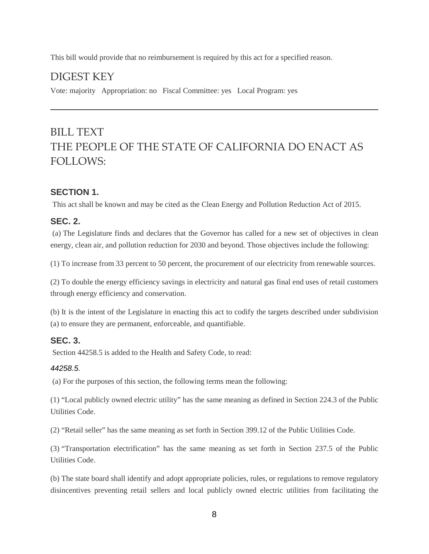This bill would provide that no reimbursement is required by this act for a specified reason.

### DIGEST KEY

Vote: majority Appropriation: no Fiscal Committee: yes Local Program: yes

## BILL TEXT THE PEOPLE OF THE STATE OF CALIFORNIA DO ENACT AS FOLLOWS:

### **SECTION 1.**

This act shall be known and may be cited as the Clean Energy and Pollution Reduction Act of 2015.

### **SEC. 2.**

(a) The Legislature finds and declares that the Governor has called for a new set of objectives in clean energy, clean air, and pollution reduction for 2030 and beyond. Those objectives include the following:

(1) To increase from 33 percent to 50 percent, the procurement of our electricity from renewable sources.

(2) To double the energy efficiency savings in electricity and natural gas final end uses of retail customers through energy efficiency and conservation.

(b) It is the intent of the Legislature in enacting this act to codify the targets described under subdivision (a) to ensure they are permanent, enforceable, and quantifiable.

### **SEC. 3.**

Section 44258.5 is added to the Health and Safety Code, to read:

#### *44258.5.*

(a) For the purposes of this section, the following terms mean the following:

(1) "Local publicly owned electric utility" has the same meaning as defined in Section 224.3 of the Public Utilities Code.

(2) "Retail seller" has the same meaning as set forth in Section 399.12 of the Public Utilities Code.

(3) "Transportation electrification" has the same meaning as set forth in Section 237.5 of the Public Utilities Code.

(b) The state board shall identify and adopt appropriate policies, rules, or regulations to remove regulatory disincentives preventing retail sellers and local publicly owned electric utilities from facilitating the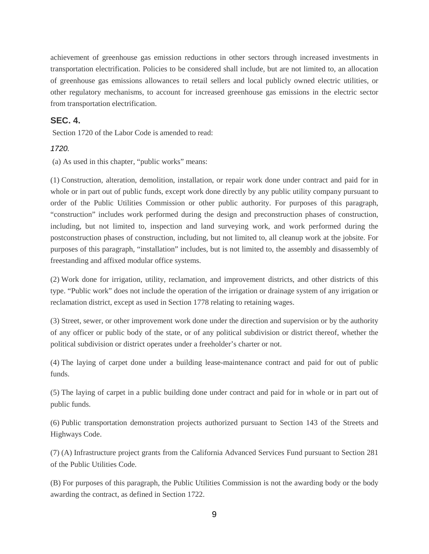achievement of greenhouse gas emission reductions in other sectors through increased investments in transportation electrification. Policies to be considered shall include, but are not limited to, an allocation of greenhouse gas emissions allowances to retail sellers and local publicly owned electric utilities, or other regulatory mechanisms, to account for increased greenhouse gas emissions in the electric sector from transportation electrification.

#### **SEC. 4.**

Section 1720 of the Labor Code is amended to read:

#### *1720.*

(a) As used in this chapter, "public works" means:

(1) Construction, alteration, demolition, installation, or repair work done under contract and paid for in whole or in part out of public funds, except work done directly by any public utility company pursuant to order of the Public Utilities Commission or other public authority. For purposes of this paragraph, "construction" includes work performed during the design and preconstruction phases of construction, including, but not limited to, inspection and land surveying work, and work performed during the postconstruction phases of construction, including, but not limited to, all cleanup work at the jobsite. For purposes of this paragraph, "installation" includes, but is not limited to, the assembly and disassembly of freestanding and affixed modular office systems.

(2) Work done for irrigation, utility, reclamation, and improvement districts, and other districts of this type. "Public work" does not include the operation of the irrigation or drainage system of any irrigation or reclamation district, except as used in Section 1778 relating to retaining wages.

(3) Street, sewer, or other improvement work done under the direction and supervision or by the authority of any officer or public body of the state, or of any political subdivision or district thereof, whether the political subdivision or district operates under a freeholder's charter or not.

(4) The laying of carpet done under a building lease-maintenance contract and paid for out of public funds.

(5) The laying of carpet in a public building done under contract and paid for in whole or in part out of public funds.

(6) Public transportation demonstration projects authorized pursuant to Section 143 of the Streets and Highways Code.

(7) (A) Infrastructure project grants from the California Advanced Services Fund pursuant to Section 281 of the Public Utilities Code.

(B) For purposes of this paragraph, the Public Utilities Commission is not the awarding body or the body awarding the contract, as defined in Section 1722.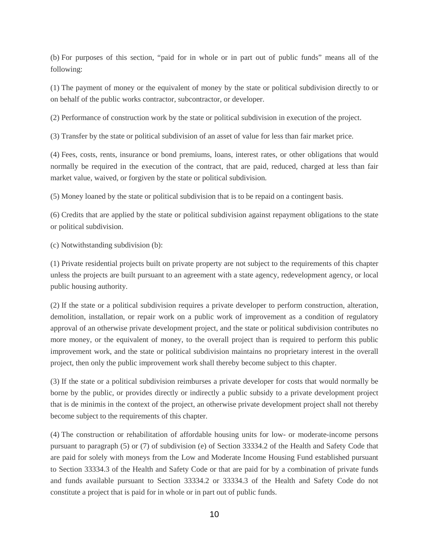(b) For purposes of this section, "paid for in whole or in part out of public funds" means all of the following:

(1) The payment of money or the equivalent of money by the state or political subdivision directly to or on behalf of the public works contractor, subcontractor, or developer.

(2) Performance of construction work by the state or political subdivision in execution of the project.

(3) Transfer by the state or political subdivision of an asset of value for less than fair market price.

(4) Fees, costs, rents, insurance or bond premiums, loans, interest rates, or other obligations that would normally be required in the execution of the contract, that are paid, reduced, charged at less than fair market value, waived, or forgiven by the state or political subdivision.

(5) Money loaned by the state or political subdivision that is to be repaid on a contingent basis.

(6) Credits that are applied by the state or political subdivision against repayment obligations to the state or political subdivision.

(c) Notwithstanding subdivision (b):

(1) Private residential projects built on private property are not subject to the requirements of this chapter unless the projects are built pursuant to an agreement with a state agency, redevelopment agency, or local public housing authority.

(2) If the state or a political subdivision requires a private developer to perform construction, alteration, demolition, installation, or repair work on a public work of improvement as a condition of regulatory approval of an otherwise private development project, and the state or political subdivision contributes no more money, or the equivalent of money, to the overall project than is required to perform this public improvement work, and the state or political subdivision maintains no proprietary interest in the overall project, then only the public improvement work shall thereby become subject to this chapter.

(3) If the state or a political subdivision reimburses a private developer for costs that would normally be borne by the public, or provides directly or indirectly a public subsidy to a private development project that is de minimis in the context of the project, an otherwise private development project shall not thereby become subject to the requirements of this chapter.

(4) The construction or rehabilitation of affordable housing units for low- or moderate-income persons pursuant to paragraph (5) or (7) of subdivision (e) of Section 33334.2 of the Health and Safety Code that are paid for solely with moneys from the Low and Moderate Income Housing Fund established pursuant to Section 33334.3 of the Health and Safety Code or that are paid for by a combination of private funds and funds available pursuant to Section 33334.2 or 33334.3 of the Health and Safety Code do not constitute a project that is paid for in whole or in part out of public funds.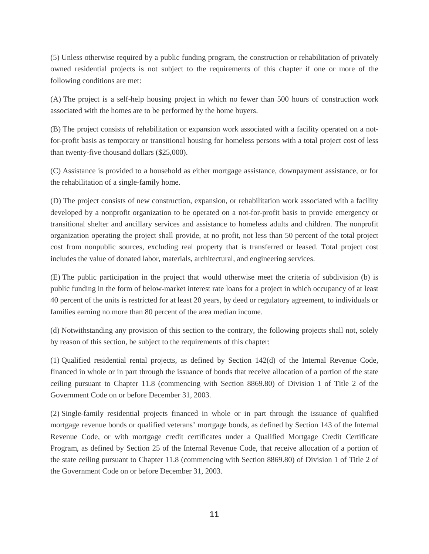(5) Unless otherwise required by a public funding program, the construction or rehabilitation of privately owned residential projects is not subject to the requirements of this chapter if one or more of the following conditions are met:

(A) The project is a self-help housing project in which no fewer than 500 hours of construction work associated with the homes are to be performed by the home buyers.

(B) The project consists of rehabilitation or expansion work associated with a facility operated on a notfor-profit basis as temporary or transitional housing for homeless persons with a total project cost of less than twenty-five thousand dollars (\$25,000).

(C) Assistance is provided to a household as either mortgage assistance, downpayment assistance, or for the rehabilitation of a single-family home.

(D) The project consists of new construction, expansion, or rehabilitation work associated with a facility developed by a nonprofit organization to be operated on a not-for-profit basis to provide emergency or transitional shelter and ancillary services and assistance to homeless adults and children. The nonprofit organization operating the project shall provide, at no profit, not less than 50 percent of the total project cost from nonpublic sources, excluding real property that is transferred or leased. Total project cost includes the value of donated labor, materials, architectural, and engineering services.

(E) The public participation in the project that would otherwise meet the criteria of subdivision (b) is public funding in the form of below-market interest rate loans for a project in which occupancy of at least 40 percent of the units is restricted for at least 20 years, by deed or regulatory agreement, to individuals or families earning no more than 80 percent of the area median income.

(d) Notwithstanding any provision of this section to the contrary, the following projects shall not, solely by reason of this section, be subject to the requirements of this chapter:

(1) Qualified residential rental projects, as defined by Section 142(d) of the Internal Revenue Code, financed in whole or in part through the issuance of bonds that receive allocation of a portion of the state ceiling pursuant to Chapter 11.8 (commencing with Section 8869.80) of Division 1 of Title 2 of the Government Code on or before December 31, 2003.

(2) Single-family residential projects financed in whole or in part through the issuance of qualified mortgage revenue bonds or qualified veterans' mortgage bonds, as defined by Section 143 of the Internal Revenue Code, or with mortgage credit certificates under a Qualified Mortgage Credit Certificate Program, as defined by Section 25 of the Internal Revenue Code, that receive allocation of a portion of the state ceiling pursuant to Chapter 11.8 (commencing with Section 8869.80) of Division 1 of Title 2 of the Government Code on or before December 31, 2003.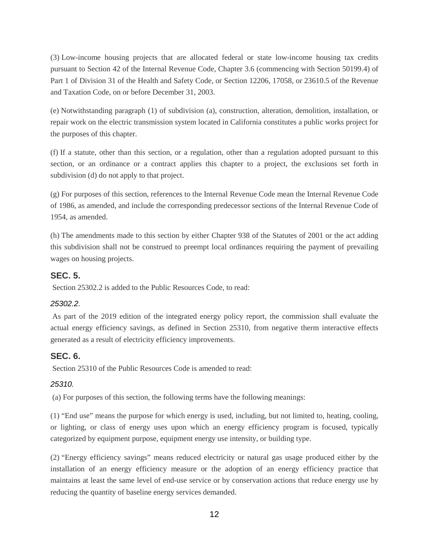(3) Low-income housing projects that are allocated federal or state low-income housing tax credits pursuant to Section 42 of the Internal Revenue Code, Chapter 3.6 (commencing with Section 50199.4) of Part 1 of Division 31 of the Health and Safety Code, or Section 12206, 17058, or 23610.5 of the Revenue and Taxation Code, on or before December 31, 2003.

(e) Notwithstanding paragraph (1) of subdivision (a), construction, alteration, demolition, installation, or repair work on the electric transmission system located in California constitutes a public works project for the purposes of this chapter.

(f) If a statute, other than this section, or a regulation, other than a regulation adopted pursuant to this section, or an ordinance or a contract applies this chapter to a project, the exclusions set forth in subdivision (d) do not apply to that project.

(g) For purposes of this section, references to the Internal Revenue Code mean the Internal Revenue Code of 1986, as amended, and include the corresponding predecessor sections of the Internal Revenue Code of 1954, as amended.

(h) The amendments made to this section by either Chapter 938 of the Statutes of 2001 or the act adding this subdivision shall not be construed to preempt local ordinances requiring the payment of prevailing wages on housing projects.

### **SEC. 5.**

Section 25302.2 is added to the Public Resources Code, to read:

#### *25302.2.*

As part of the 2019 edition of the integrated energy policy report, the commission shall evaluate the actual energy efficiency savings, as defined in Section 25310, from negative therm interactive effects generated as a result of electricity efficiency improvements.

### **SEC. 6.**

Section 25310 of the Public Resources Code is amended to read:

### *25310.*

(a) For purposes of this section, the following terms have the following meanings:

(1) "End use" means the purpose for which energy is used, including, but not limited to, heating, cooling, or lighting, or class of energy uses upon which an energy efficiency program is focused, typically categorized by equipment purpose, equipment energy use intensity, or building type.

(2) "Energy efficiency savings" means reduced electricity or natural gas usage produced either by the installation of an energy efficiency measure or the adoption of an energy efficiency practice that maintains at least the same level of end-use service or by conservation actions that reduce energy use by reducing the quantity of baseline energy services demanded.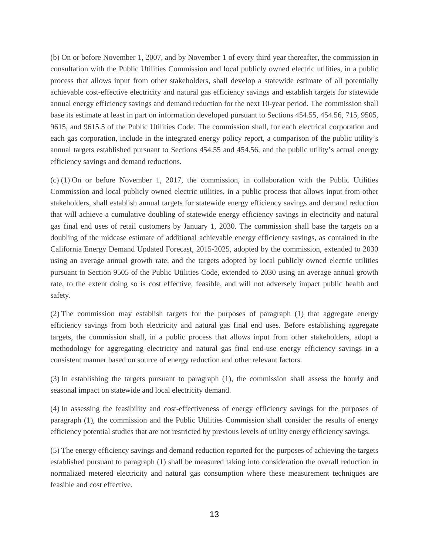(b) On or before November 1, 2007, and by November 1 of every third year thereafter, the commission in consultation with the Public Utilities Commission and local publicly owned electric utilities, in a public process that allows input from other stakeholders, shall develop a statewide estimate of all potentially achievable cost-effective electricity and natural gas efficiency savings and establish targets for statewide annual energy efficiency savings and demand reduction for the next 10-year period. The commission shall base its estimate at least in part on information developed pursuant to Sections 454.55, 454.56, 715, 9505, 9615, and 9615.5 of the Public Utilities Code. The commission shall, for each electrical corporation and each gas corporation, include in the integrated energy policy report, a comparison of the public utility's annual targets established pursuant to Sections 454.55 and 454.56, and the public utility's actual energy efficiency savings and demand reductions.

(c) (1) On or before November 1, 2017, the commission, in collaboration with the Public Utilities Commission and local publicly owned electric utilities, in a public process that allows input from other stakeholders, shall establish annual targets for statewide energy efficiency savings and demand reduction that will achieve a cumulative doubling of statewide energy efficiency savings in electricity and natural gas final end uses of retail customers by January 1, 2030. The commission shall base the targets on a doubling of the midcase estimate of additional achievable energy efficiency savings, as contained in the California Energy Demand Updated Forecast, 2015-2025, adopted by the commission, extended to 2030 using an average annual growth rate, and the targets adopted by local publicly owned electric utilities pursuant to Section 9505 of the Public Utilities Code, extended to 2030 using an average annual growth rate, to the extent doing so is cost effective, feasible, and will not adversely impact public health and safety.

(2) The commission may establish targets for the purposes of paragraph (1) that aggregate energy efficiency savings from both electricity and natural gas final end uses. Before establishing aggregate targets, the commission shall, in a public process that allows input from other stakeholders, adopt a methodology for aggregating electricity and natural gas final end-use energy efficiency savings in a consistent manner based on source of energy reduction and other relevant factors.

(3) In establishing the targets pursuant to paragraph (1), the commission shall assess the hourly and seasonal impact on statewide and local electricity demand.

(4) In assessing the feasibility and cost-effectiveness of energy efficiency savings for the purposes of paragraph (1), the commission and the Public Utilities Commission shall consider the results of energy efficiency potential studies that are not restricted by previous levels of utility energy efficiency savings.

(5) The energy efficiency savings and demand reduction reported for the purposes of achieving the targets established pursuant to paragraph (1) shall be measured taking into consideration the overall reduction in normalized metered electricity and natural gas consumption where these measurement techniques are feasible and cost effective.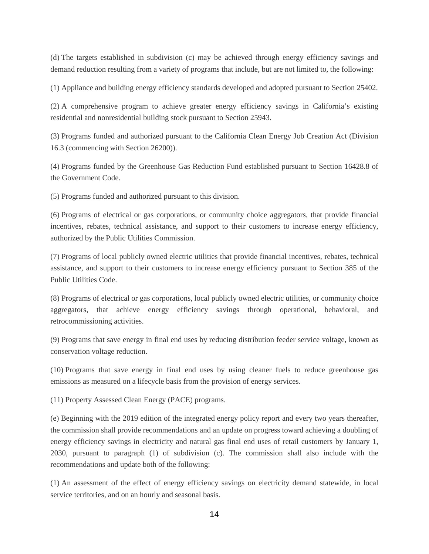(d) The targets established in subdivision (c) may be achieved through energy efficiency savings and demand reduction resulting from a variety of programs that include, but are not limited to, the following:

(1) Appliance and building energy efficiency standards developed and adopted pursuant to Section 25402.

(2) A comprehensive program to achieve greater energy efficiency savings in California's existing residential and nonresidential building stock pursuant to Section 25943.

(3) Programs funded and authorized pursuant to the California Clean Energy Job Creation Act (Division 16.3 (commencing with Section 26200)).

(4) Programs funded by the Greenhouse Gas Reduction Fund established pursuant to Section 16428.8 of the Government Code.

(5) Programs funded and authorized pursuant to this division.

(6) Programs of electrical or gas corporations, or community choice aggregators, that provide financial incentives, rebates, technical assistance, and support to their customers to increase energy efficiency, authorized by the Public Utilities Commission.

(7) Programs of local publicly owned electric utilities that provide financial incentives, rebates, technical assistance, and support to their customers to increase energy efficiency pursuant to Section 385 of the Public Utilities Code.

(8) Programs of electrical or gas corporations, local publicly owned electric utilities, or community choice aggregators, that achieve energy efficiency savings through operational, behavioral, and retrocommissioning activities.

(9) Programs that save energy in final end uses by reducing distribution feeder service voltage, known as conservation voltage reduction.

(10) Programs that save energy in final end uses by using cleaner fuels to reduce greenhouse gas emissions as measured on a lifecycle basis from the provision of energy services.

(11) Property Assessed Clean Energy (PACE) programs.

(e) Beginning with the 2019 edition of the integrated energy policy report and every two years thereafter, the commission shall provide recommendations and an update on progress toward achieving a doubling of energy efficiency savings in electricity and natural gas final end uses of retail customers by January 1, 2030, pursuant to paragraph (1) of subdivision (c). The commission shall also include with the recommendations and update both of the following:

(1) An assessment of the effect of energy efficiency savings on electricity demand statewide, in local service territories, and on an hourly and seasonal basis.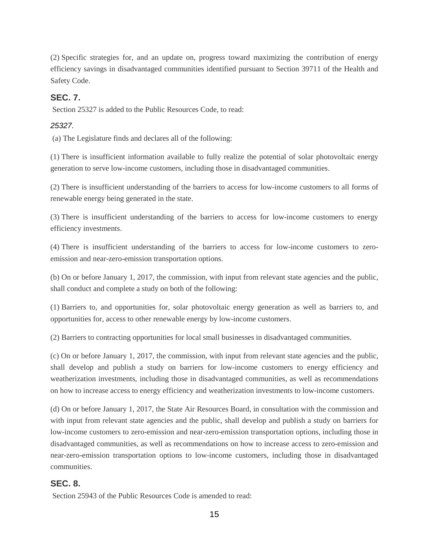(2) Specific strategies for, and an update on, progress toward maximizing the contribution of energy efficiency savings in disadvantaged communities identified pursuant to Section 39711 of the Health and Safety Code.

### **SEC. 7.**

Section 25327 is added to the Public Resources Code, to read:

#### *25327.*

(a) The Legislature finds and declares all of the following:

(1) There is insufficient information available to fully realize the potential of solar photovoltaic energy generation to serve low-income customers, including those in disadvantaged communities.

(2) There is insufficient understanding of the barriers to access for low-income customers to all forms of renewable energy being generated in the state.

(3) There is insufficient understanding of the barriers to access for low-income customers to energy efficiency investments.

(4) There is insufficient understanding of the barriers to access for low-income customers to zeroemission and near-zero-emission transportation options.

(b) On or before January 1, 2017, the commission, with input from relevant state agencies and the public, shall conduct and complete a study on both of the following:

(1) Barriers to, and opportunities for, solar photovoltaic energy generation as well as barriers to, and opportunities for, access to other renewable energy by low-income customers.

(2) Barriers to contracting opportunities for local small businesses in disadvantaged communities.

(c) On or before January 1, 2017, the commission, with input from relevant state agencies and the public, shall develop and publish a study on barriers for low-income customers to energy efficiency and weatherization investments, including those in disadvantaged communities, as well as recommendations on how to increase access to energy efficiency and weatherization investments to low-income customers.

(d) On or before January 1, 2017, the State Air Resources Board, in consultation with the commission and with input from relevant state agencies and the public, shall develop and publish a study on barriers for low-income customers to zero-emission and near-zero-emission transportation options, including those in disadvantaged communities, as well as recommendations on how to increase access to zero-emission and near-zero-emission transportation options to low-income customers, including those in disadvantaged communities.

### **SEC. 8.**

Section 25943 of the Public Resources Code is amended to read: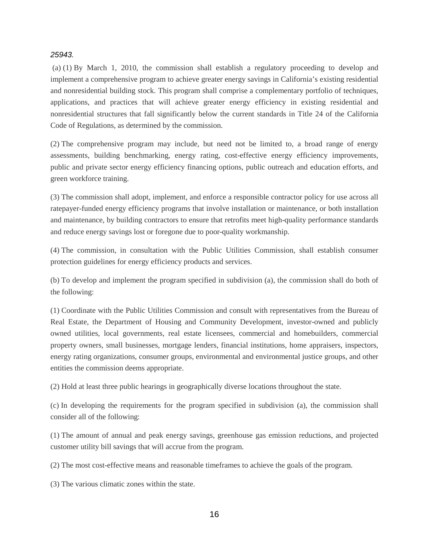#### *25943.*

(a) (1) By March 1, 2010, the commission shall establish a regulatory proceeding to develop and implement a comprehensive program to achieve greater energy savings in California's existing residential and nonresidential building stock. This program shall comprise a complementary portfolio of techniques, applications, and practices that will achieve greater energy efficiency in existing residential and nonresidential structures that fall significantly below the current standards in Title 24 of the California Code of Regulations, as determined by the commission.

(2) The comprehensive program may include, but need not be limited to, a broad range of energy assessments, building benchmarking, energy rating, cost-effective energy efficiency improvements, public and private sector energy efficiency financing options, public outreach and education efforts, and green workforce training.

(3) The commission shall adopt, implement, and enforce a responsible contractor policy for use across all ratepayer-funded energy efficiency programs that involve installation or maintenance, or both installation and maintenance, by building contractors to ensure that retrofits meet high-quality performance standards and reduce energy savings lost or foregone due to poor-quality workmanship.

(4) The commission, in consultation with the Public Utilities Commission, shall establish consumer protection guidelines for energy efficiency products and services.

(b) To develop and implement the program specified in subdivision (a), the commission shall do both of the following:

(1) Coordinate with the Public Utilities Commission and consult with representatives from the Bureau of Real Estate, the Department of Housing and Community Development, investor-owned and publicly owned utilities, local governments, real estate licensees, commercial and homebuilders, commercial property owners, small businesses, mortgage lenders, financial institutions, home appraisers, inspectors, energy rating organizations, consumer groups, environmental and environmental justice groups, and other entities the commission deems appropriate.

(2) Hold at least three public hearings in geographically diverse locations throughout the state.

(c) In developing the requirements for the program specified in subdivision (a), the commission shall consider all of the following:

(1) The amount of annual and peak energy savings, greenhouse gas emission reductions, and projected customer utility bill savings that will accrue from the program.

(2) The most cost-effective means and reasonable timeframes to achieve the goals of the program.

(3) The various climatic zones within the state.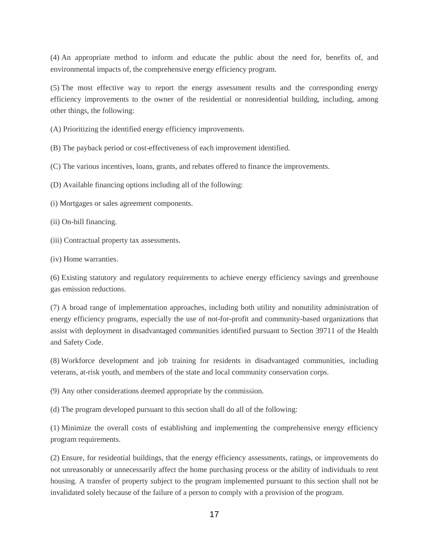(4) An appropriate method to inform and educate the public about the need for, benefits of, and environmental impacts of, the comprehensive energy efficiency program.

(5) The most effective way to report the energy assessment results and the corresponding energy efficiency improvements to the owner of the residential or nonresidential building, including, among other things, the following:

(A) Prioritizing the identified energy efficiency improvements.

(B) The payback period or cost-effectiveness of each improvement identified.

(C) The various incentives, loans, grants, and rebates offered to finance the improvements.

(D) Available financing options including all of the following:

(i) Mortgages or sales agreement components.

(ii) On-bill financing.

(iii) Contractual property tax assessments.

(iv) Home warranties.

(6) Existing statutory and regulatory requirements to achieve energy efficiency savings and greenhouse gas emission reductions.

(7) A broad range of implementation approaches, including both utility and nonutility administration of energy efficiency programs, especially the use of not-for-profit and community-based organizations that assist with deployment in disadvantaged communities identified pursuant to Section 39711 of the Health and Safety Code.

(8) Workforce development and job training for residents in disadvantaged communities, including veterans, at-risk youth, and members of the state and local community conservation corps.

(9) Any other considerations deemed appropriate by the commission.

(d) The program developed pursuant to this section shall do all of the following:

(1) Minimize the overall costs of establishing and implementing the comprehensive energy efficiency program requirements.

(2) Ensure, for residential buildings, that the energy efficiency assessments, ratings, or improvements do not unreasonably or unnecessarily affect the home purchasing process or the ability of individuals to rent housing. A transfer of property subject to the program implemented pursuant to this section shall not be invalidated solely because of the failure of a person to comply with a provision of the program.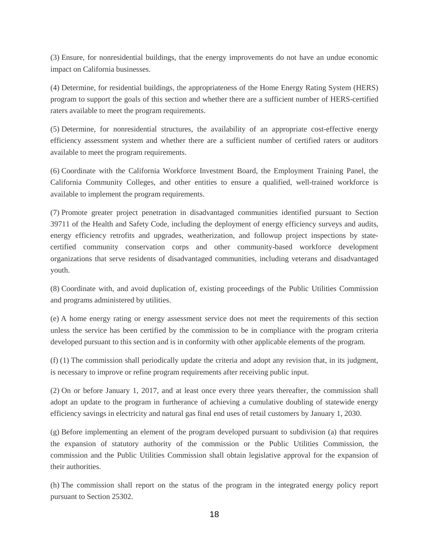(3) Ensure, for nonresidential buildings, that the energy improvements do not have an undue economic impact on California businesses.

(4) Determine, for residential buildings, the appropriateness of the Home Energy Rating System (HERS) program to support the goals of this section and whether there are a sufficient number of HERS-certified raters available to meet the program requirements.

(5) Determine, for nonresidential structures, the availability of an appropriate cost-effective energy efficiency assessment system and whether there are a sufficient number of certified raters or auditors available to meet the program requirements.

(6) Coordinate with the California Workforce Investment Board, the Employment Training Panel, the California Community Colleges, and other entities to ensure a qualified, well-trained workforce is available to implement the program requirements.

(7) Promote greater project penetration in disadvantaged communities identified pursuant to Section 39711 of the Health and Safety Code, including the deployment of energy efficiency surveys and audits, energy efficiency retrofits and upgrades, weatherization, and followup project inspections by statecertified community conservation corps and other community-based workforce development organizations that serve residents of disadvantaged communities, including veterans and disadvantaged youth.

(8) Coordinate with, and avoid duplication of, existing proceedings of the Public Utilities Commission and programs administered by utilities.

(e) A home energy rating or energy assessment service does not meet the requirements of this section unless the service has been certified by the commission to be in compliance with the program criteria developed pursuant to this section and is in conformity with other applicable elements of the program.

(f) (1) The commission shall periodically update the criteria and adopt any revision that, in its judgment, is necessary to improve or refine program requirements after receiving public input.

(2) On or before January 1, 2017, and at least once every three years thereafter, the commission shall adopt an update to the program in furtherance of achieving a cumulative doubling of statewide energy efficiency savings in electricity and natural gas final end uses of retail customers by January 1, 2030.

(g) Before implementing an element of the program developed pursuant to subdivision (a) that requires the expansion of statutory authority of the commission or the Public Utilities Commission, the commission and the Public Utilities Commission shall obtain legislative approval for the expansion of their authorities.

(h) The commission shall report on the status of the program in the integrated energy policy report pursuant to Section 25302.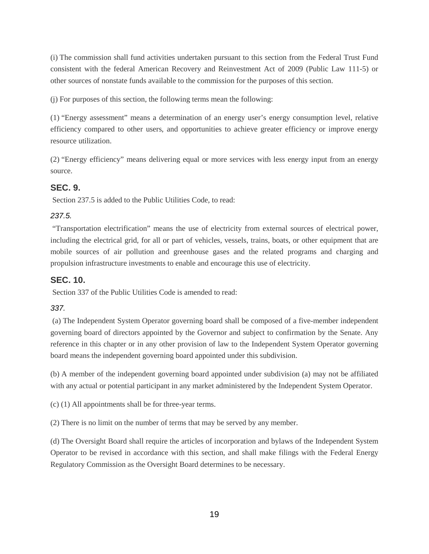(i) The commission shall fund activities undertaken pursuant to this section from the Federal Trust Fund consistent with the federal American Recovery and Reinvestment Act of 2009 (Public Law 111-5) or other sources of nonstate funds available to the commission for the purposes of this section.

(j) For purposes of this section, the following terms mean the following:

(1) "Energy assessment" means a determination of an energy user's energy consumption level, relative efficiency compared to other users, and opportunities to achieve greater efficiency or improve energy resource utilization.

(2) "Energy efficiency" means delivering equal or more services with less energy input from an energy source.

### **SEC. 9.**

Section 237.5 is added to the Public Utilities Code, to read:

### *237.5.*

"Transportation electrification" means the use of electricity from external sources of electrical power, including the electrical grid, for all or part of vehicles, vessels, trains, boats, or other equipment that are mobile sources of air pollution and greenhouse gases and the related programs and charging and propulsion infrastructure investments to enable and encourage this use of electricity.

### **SEC. 10.**

Section 337 of the Public Utilities Code is amended to read:

### *337.*

(a) The Independent System Operator governing board shall be composed of a five-member independent governing board of directors appointed by the Governor and subject to confirmation by the Senate. Any reference in this chapter or in any other provision of law to the Independent System Operator governing board means the independent governing board appointed under this subdivision.

(b) A member of the independent governing board appointed under subdivision (a) may not be affiliated with any actual or potential participant in any market administered by the Independent System Operator.

(c) (1) All appointments shall be for three-year terms.

(2) There is no limit on the number of terms that may be served by any member.

(d) The Oversight Board shall require the articles of incorporation and bylaws of the Independent System Operator to be revised in accordance with this section, and shall make filings with the Federal Energy Regulatory Commission as the Oversight Board determines to be necessary.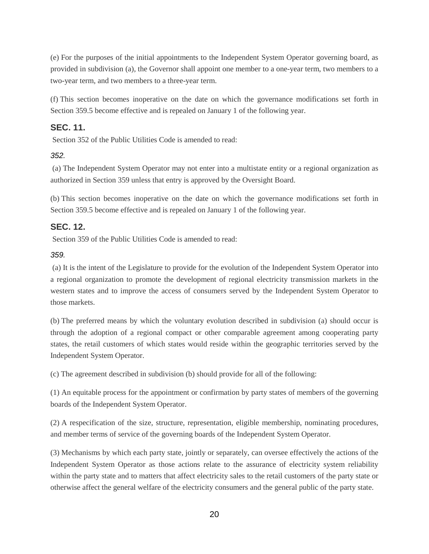(e) For the purposes of the initial appointments to the Independent System Operator governing board, as provided in subdivision (a), the Governor shall appoint one member to a one-year term, two members to a two-year term, and two members to a three-year term.

(f) This section becomes inoperative on the date on which the governance modifications set forth in Section 359.5 become effective and is repealed on January 1 of the following year.

### **SEC. 11.**

Section 352 of the Public Utilities Code is amended to read:

*352.*

(a) The Independent System Operator may not enter into a multistate entity or a regional organization as authorized in Section 359 unless that entry is approved by the Oversight Board.

(b) This section becomes inoperative on the date on which the governance modifications set forth in Section 359.5 become effective and is repealed on January 1 of the following year.

### **SEC. 12.**

Section 359 of the Public Utilities Code is amended to read:

#### *359.*

(a) It is the intent of the Legislature to provide for the evolution of the Independent System Operator into a regional organization to promote the development of regional electricity transmission markets in the western states and to improve the access of consumers served by the Independent System Operator to those markets.

(b) The preferred means by which the voluntary evolution described in subdivision (a) should occur is through the adoption of a regional compact or other comparable agreement among cooperating party states, the retail customers of which states would reside within the geographic territories served by the Independent System Operator.

(c) The agreement described in subdivision (b) should provide for all of the following:

(1) An equitable process for the appointment or confirmation by party states of members of the governing boards of the Independent System Operator.

(2) A respecification of the size, structure, representation, eligible membership, nominating procedures, and member terms of service of the governing boards of the Independent System Operator.

(3) Mechanisms by which each party state, jointly or separately, can oversee effectively the actions of the Independent System Operator as those actions relate to the assurance of electricity system reliability within the party state and to matters that affect electricity sales to the retail customers of the party state or otherwise affect the general welfare of the electricity consumers and the general public of the party state.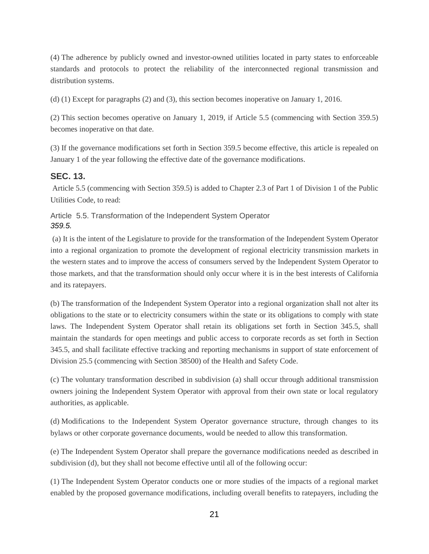(4) The adherence by publicly owned and investor-owned utilities located in party states to enforceable standards and protocols to protect the reliability of the interconnected regional transmission and distribution systems.

(d) (1) Except for paragraphs (2) and (3), this section becomes inoperative on January 1, 2016.

(2) This section becomes operative on January 1, 2019, if Article 5.5 (commencing with Section 359.5) becomes inoperative on that date.

(3) If the governance modifications set forth in Section 359.5 become effective, this article is repealed on January 1 of the year following the effective date of the governance modifications.

### **SEC. 13.**

 Article 5.5 (commencing with Section 359.5) is added to Chapter 2.3 of Part 1 of Division 1 of the Public Utilities Code, to read:

Article 5.5. Transformation of the Independent System Operator *359.5.*

(a) It is the intent of the Legislature to provide for the transformation of the Independent System Operator into a regional organization to promote the development of regional electricity transmission markets in the western states and to improve the access of consumers served by the Independent System Operator to those markets, and that the transformation should only occur where it is in the best interests of California and its ratepayers.

(b) The transformation of the Independent System Operator into a regional organization shall not alter its obligations to the state or to electricity consumers within the state or its obligations to comply with state laws. The Independent System Operator shall retain its obligations set forth in Section 345.5, shall maintain the standards for open meetings and public access to corporate records as set forth in Section 345.5, and shall facilitate effective tracking and reporting mechanisms in support of state enforcement of Division 25.5 (commencing with Section 38500) of the Health and Safety Code.

(c) The voluntary transformation described in subdivision (a) shall occur through additional transmission owners joining the Independent System Operator with approval from their own state or local regulatory authorities, as applicable.

(d) Modifications to the Independent System Operator governance structure, through changes to its bylaws or other corporate governance documents, would be needed to allow this transformation.

(e) The Independent System Operator shall prepare the governance modifications needed as described in subdivision (d), but they shall not become effective until all of the following occur:

(1) The Independent System Operator conducts one or more studies of the impacts of a regional market enabled by the proposed governance modifications, including overall benefits to ratepayers, including the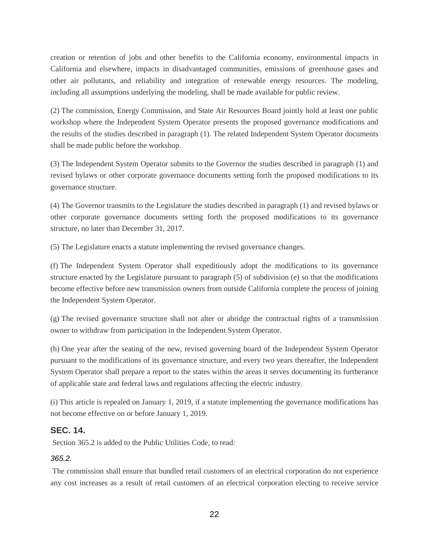creation or retention of jobs and other benefits to the California economy, environmental impacts in California and elsewhere, impacts in disadvantaged communities, emissions of greenhouse gases and other air pollutants, and reliability and integration of renewable energy resources. The modeling, including all assumptions underlying the modeling, shall be made available for public review.

(2) The commission, Energy Commission, and State Air Resources Board jointly hold at least one public workshop where the Independent System Operator presents the proposed governance modifications and the results of the studies described in paragraph (1). The related Independent System Operator documents shall be made public before the workshop.

(3) The Independent System Operator submits to the Governor the studies described in paragraph (1) and revised bylaws or other corporate governance documents setting forth the proposed modifications to its governance structure.

(4) The Governor transmits to the Legislature the studies described in paragraph (1) and revised bylaws or other corporate governance documents setting forth the proposed modifications to its governance structure, no later than December 31, 2017.

(5) The Legislature enacts a statute implementing the revised governance changes.

(f) The Independent System Operator shall expeditiously adopt the modifications to its governance structure enacted by the Legislature pursuant to paragraph (5) of subdivision (e) so that the modifications become effective before new transmission owners from outside California complete the process of joining the Independent System Operator.

(g) The revised governance structure shall not alter or abridge the contractual rights of a transmission owner to withdraw from participation in the Independent System Operator.

(h) One year after the seating of the new, revised governing board of the Independent System Operator pursuant to the modifications of its governance structure, and every two years thereafter, the Independent System Operator shall prepare a report to the states within the areas it serves documenting its furtherance of applicable state and federal laws and regulations affecting the electric industry.

(i) This article is repealed on January 1, 2019, if a statute implementing the governance modifications has not become effective on or before January 1, 2019.

### **SEC. 14.**

Section 365.2 is added to the Public Utilities Code, to read:

#### *365.2.*

The commission shall ensure that bundled retail customers of an electrical corporation do not experience any cost increases as a result of retail customers of an electrical corporation electing to receive service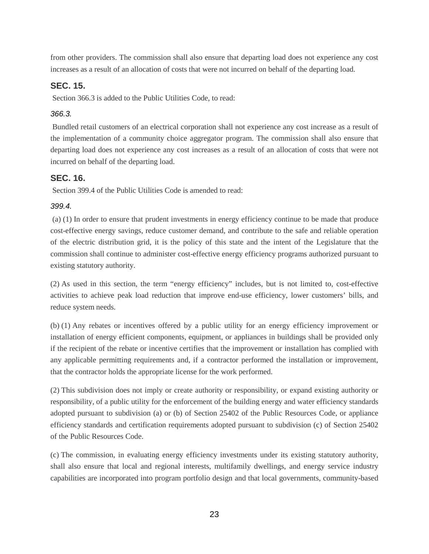from other providers. The commission shall also ensure that departing load does not experience any cost increases as a result of an allocation of costs that were not incurred on behalf of the departing load.

### **SEC. 15.**

Section 366.3 is added to the Public Utilities Code, to read:

### *366.3.*

Bundled retail customers of an electrical corporation shall not experience any cost increase as a result of the implementation of a community choice aggregator program. The commission shall also ensure that departing load does not experience any cost increases as a result of an allocation of costs that were not incurred on behalf of the departing load.

### **SEC. 16.**

Section 399.4 of the Public Utilities Code is amended to read:

### *399.4.*

(a) (1) In order to ensure that prudent investments in energy efficiency continue to be made that produce cost-effective energy savings, reduce customer demand, and contribute to the safe and reliable operation of the electric distribution grid, it is the policy of this state and the intent of the Legislature that the commission shall continue to administer cost-effective energy efficiency programs authorized pursuant to existing statutory authority.

(2) As used in this section, the term "energy efficiency" includes, but is not limited to, cost-effective activities to achieve peak load reduction that improve end-use efficiency, lower customers' bills, and reduce system needs.

(b) (1) Any rebates or incentives offered by a public utility for an energy efficiency improvement or installation of energy efficient components, equipment, or appliances in buildings shall be provided only if the recipient of the rebate or incentive certifies that the improvement or installation has complied with any applicable permitting requirements and, if a contractor performed the installation or improvement, that the contractor holds the appropriate license for the work performed.

(2) This subdivision does not imply or create authority or responsibility, or expand existing authority or responsibility, of a public utility for the enforcement of the building energy and water efficiency standards adopted pursuant to subdivision (a) or (b) of Section 25402 of the Public Resources Code, or appliance efficiency standards and certification requirements adopted pursuant to subdivision (c) of Section 25402 of the Public Resources Code.

(c) The commission, in evaluating energy efficiency investments under its existing statutory authority, shall also ensure that local and regional interests, multifamily dwellings, and energy service industry capabilities are incorporated into program portfolio design and that local governments, community-based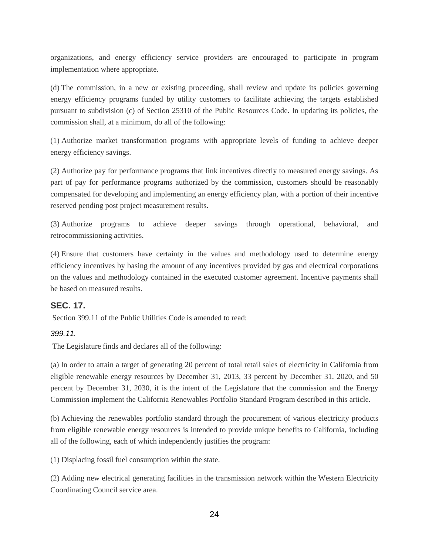organizations, and energy efficiency service providers are encouraged to participate in program implementation where appropriate.

(d) The commission, in a new or existing proceeding, shall review and update its policies governing energy efficiency programs funded by utility customers to facilitate achieving the targets established pursuant to subdivision (c) of Section 25310 of the Public Resources Code. In updating its policies, the commission shall, at a minimum, do all of the following:

(1) Authorize market transformation programs with appropriate levels of funding to achieve deeper energy efficiency savings.

(2) Authorize pay for performance programs that link incentives directly to measured energy savings. As part of pay for performance programs authorized by the commission, customers should be reasonably compensated for developing and implementing an energy efficiency plan, with a portion of their incentive reserved pending post project measurement results.

(3) Authorize programs to achieve deeper savings through operational, behavioral, and retrocommissioning activities.

(4) Ensure that customers have certainty in the values and methodology used to determine energy efficiency incentives by basing the amount of any incentives provided by gas and electrical corporations on the values and methodology contained in the executed customer agreement. Incentive payments shall be based on measured results.

### **SEC. 17.**

Section 399.11 of the Public Utilities Code is amended to read:

#### *399.11.*

The Legislature finds and declares all of the following:

(a) In order to attain a target of generating 20 percent of total retail sales of electricity in California from eligible renewable energy resources by December 31, 2013, 33 percent by December 31, 2020, and 50 percent by December 31, 2030, it is the intent of the Legislature that the commission and the Energy Commission implement the California Renewables Portfolio Standard Program described in this article.

(b) Achieving the renewables portfolio standard through the procurement of various electricity products from eligible renewable energy resources is intended to provide unique benefits to California, including all of the following, each of which independently justifies the program:

(1) Displacing fossil fuel consumption within the state.

(2) Adding new electrical generating facilities in the transmission network within the Western Electricity Coordinating Council service area.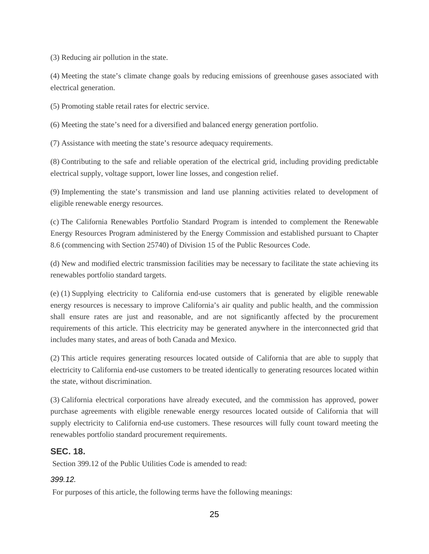(3) Reducing air pollution in the state.

(4) Meeting the state's climate change goals by reducing emissions of greenhouse gases associated with electrical generation.

(5) Promoting stable retail rates for electric service.

(6) Meeting the state's need for a diversified and balanced energy generation portfolio.

(7) Assistance with meeting the state's resource adequacy requirements.

(8) Contributing to the safe and reliable operation of the electrical grid, including providing predictable electrical supply, voltage support, lower line losses, and congestion relief.

(9) Implementing the state's transmission and land use planning activities related to development of eligible renewable energy resources.

(c) The California Renewables Portfolio Standard Program is intended to complement the Renewable Energy Resources Program administered by the Energy Commission and established pursuant to Chapter 8.6 (commencing with Section 25740) of Division 15 of the Public Resources Code.

(d) New and modified electric transmission facilities may be necessary to facilitate the state achieving its renewables portfolio standard targets.

(e) (1) Supplying electricity to California end-use customers that is generated by eligible renewable energy resources is necessary to improve California's air quality and public health, and the commission shall ensure rates are just and reasonable, and are not significantly affected by the procurement requirements of this article. This electricity may be generated anywhere in the interconnected grid that includes many states, and areas of both Canada and Mexico.

(2) This article requires generating resources located outside of California that are able to supply that electricity to California end-use customers to be treated identically to generating resources located within the state, without discrimination.

(3) California electrical corporations have already executed, and the commission has approved, power purchase agreements with eligible renewable energy resources located outside of California that will supply electricity to California end-use customers. These resources will fully count toward meeting the renewables portfolio standard procurement requirements.

#### **SEC. 18.**

Section 399.12 of the Public Utilities Code is amended to read:

#### *399.12.*

For purposes of this article, the following terms have the following meanings: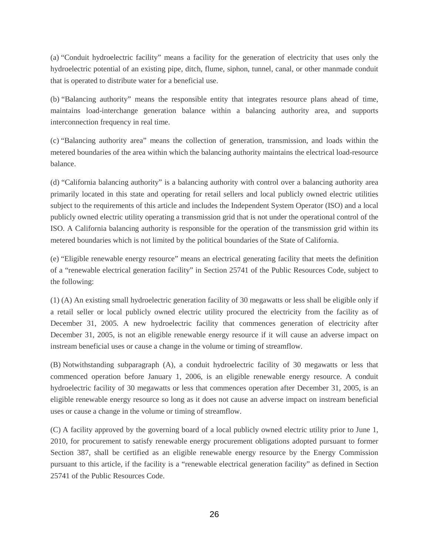(a) "Conduit hydroelectric facility" means a facility for the generation of electricity that uses only the hydroelectric potential of an existing pipe, ditch, flume, siphon, tunnel, canal, or other manmade conduit that is operated to distribute water for a beneficial use.

(b) "Balancing authority" means the responsible entity that integrates resource plans ahead of time, maintains load-interchange generation balance within a balancing authority area, and supports interconnection frequency in real time.

(c) "Balancing authority area" means the collection of generation, transmission, and loads within the metered boundaries of the area within which the balancing authority maintains the electrical load-resource balance.

(d) "California balancing authority" is a balancing authority with control over a balancing authority area primarily located in this state and operating for retail sellers and local publicly owned electric utilities subject to the requirements of this article and includes the Independent System Operator (ISO) and a local publicly owned electric utility operating a transmission grid that is not under the operational control of the ISO. A California balancing authority is responsible for the operation of the transmission grid within its metered boundaries which is not limited by the political boundaries of the State of California.

(e) "Eligible renewable energy resource" means an electrical generating facility that meets the definition of a "renewable electrical generation facility" in Section 25741 of the Public Resources Code, subject to the following:

(1) (A) An existing small hydroelectric generation facility of 30 megawatts or less shall be eligible only if a retail seller or local publicly owned electric utility procured the electricity from the facility as of December 31, 2005. A new hydroelectric facility that commences generation of electricity after December 31, 2005, is not an eligible renewable energy resource if it will cause an adverse impact on instream beneficial uses or cause a change in the volume or timing of streamflow.

(B) Notwithstanding subparagraph (A), a conduit hydroelectric facility of 30 megawatts or less that commenced operation before January 1, 2006, is an eligible renewable energy resource. A conduit hydroelectric facility of 30 megawatts or less that commences operation after December 31, 2005, is an eligible renewable energy resource so long as it does not cause an adverse impact on instream beneficial uses or cause a change in the volume or timing of streamflow.

(C) A facility approved by the governing board of a local publicly owned electric utility prior to June 1, 2010, for procurement to satisfy renewable energy procurement obligations adopted pursuant to former Section 387, shall be certified as an eligible renewable energy resource by the Energy Commission pursuant to this article, if the facility is a "renewable electrical generation facility" as defined in Section 25741 of the Public Resources Code.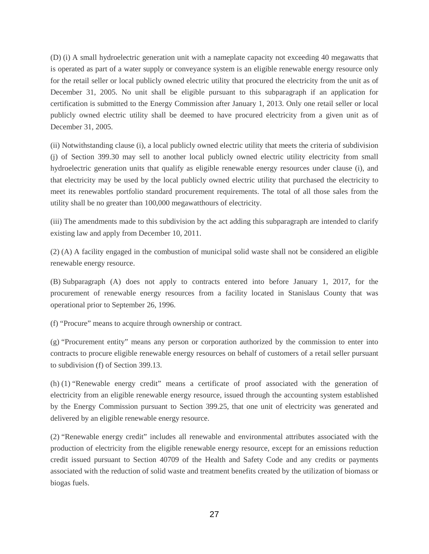(D) (i) A small hydroelectric generation unit with a nameplate capacity not exceeding 40 megawatts that is operated as part of a water supply or conveyance system is an eligible renewable energy resource only for the retail seller or local publicly owned electric utility that procured the electricity from the unit as of December 31, 2005. No unit shall be eligible pursuant to this subparagraph if an application for certification is submitted to the Energy Commission after January 1, 2013. Only one retail seller or local publicly owned electric utility shall be deemed to have procured electricity from a given unit as of December 31, 2005.

(ii) Notwithstanding clause (i), a local publicly owned electric utility that meets the criteria of subdivision (j) of Section 399.30 may sell to another local publicly owned electric utility electricity from small hydroelectric generation units that qualify as eligible renewable energy resources under clause (i), and that electricity may be used by the local publicly owned electric utility that purchased the electricity to meet its renewables portfolio standard procurement requirements. The total of all those sales from the utility shall be no greater than 100,000 megawatthours of electricity.

(iii) The amendments made to this subdivision by the act adding this subparagraph are intended to clarify existing law and apply from December 10, 2011.

(2) (A) A facility engaged in the combustion of municipal solid waste shall not be considered an eligible renewable energy resource.

(B) Subparagraph (A) does not apply to contracts entered into before January 1, 2017, for the procurement of renewable energy resources from a facility located in Stanislaus County that was operational prior to September 26, 1996.

(f) "Procure" means to acquire through ownership or contract.

(g) "Procurement entity" means any person or corporation authorized by the commission to enter into contracts to procure eligible renewable energy resources on behalf of customers of a retail seller pursuant to subdivision (f) of Section 399.13.

(h) (1) "Renewable energy credit" means a certificate of proof associated with the generation of electricity from an eligible renewable energy resource, issued through the accounting system established by the Energy Commission pursuant to Section 399.25, that one unit of electricity was generated and delivered by an eligible renewable energy resource.

(2) "Renewable energy credit" includes all renewable and environmental attributes associated with the production of electricity from the eligible renewable energy resource, except for an emissions reduction credit issued pursuant to Section 40709 of the Health and Safety Code and any credits or payments associated with the reduction of solid waste and treatment benefits created by the utilization of biomass or biogas fuels.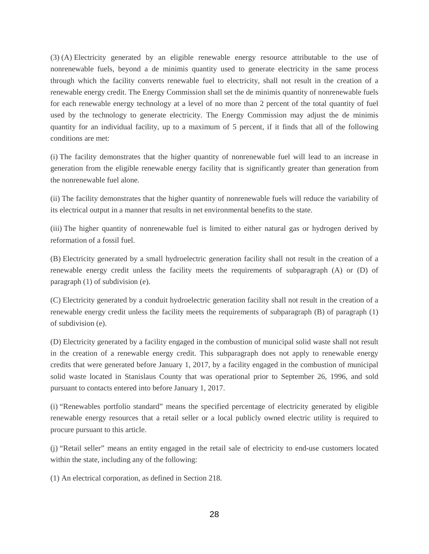(3) (A) Electricity generated by an eligible renewable energy resource attributable to the use of nonrenewable fuels, beyond a de minimis quantity used to generate electricity in the same process through which the facility converts renewable fuel to electricity, shall not result in the creation of a renewable energy credit. The Energy Commission shall set the de minimis quantity of nonrenewable fuels for each renewable energy technology at a level of no more than 2 percent of the total quantity of fuel used by the technology to generate electricity. The Energy Commission may adjust the de minimis quantity for an individual facility, up to a maximum of 5 percent, if it finds that all of the following conditions are met:

(i) The facility demonstrates that the higher quantity of nonrenewable fuel will lead to an increase in generation from the eligible renewable energy facility that is significantly greater than generation from the nonrenewable fuel alone.

(ii) The facility demonstrates that the higher quantity of nonrenewable fuels will reduce the variability of its electrical output in a manner that results in net environmental benefits to the state.

(iii) The higher quantity of nonrenewable fuel is limited to either natural gas or hydrogen derived by reformation of a fossil fuel.

(B) Electricity generated by a small hydroelectric generation facility shall not result in the creation of a renewable energy credit unless the facility meets the requirements of subparagraph (A) or (D) of paragraph (1) of subdivision (e).

(C) Electricity generated by a conduit hydroelectric generation facility shall not result in the creation of a renewable energy credit unless the facility meets the requirements of subparagraph (B) of paragraph (1) of subdivision (e).

(D) Electricity generated by a facility engaged in the combustion of municipal solid waste shall not result in the creation of a renewable energy credit. This subparagraph does not apply to renewable energy credits that were generated before January 1, 2017, by a facility engaged in the combustion of municipal solid waste located in Stanislaus County that was operational prior to September 26, 1996, and sold pursuant to contacts entered into before January 1, 2017.

(i) "Renewables portfolio standard" means the specified percentage of electricity generated by eligible renewable energy resources that a retail seller or a local publicly owned electric utility is required to procure pursuant to this article.

(j) "Retail seller" means an entity engaged in the retail sale of electricity to end-use customers located within the state, including any of the following:

(1) An electrical corporation, as defined in Section 218.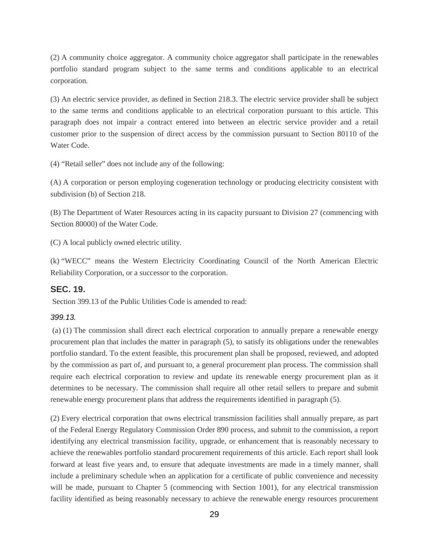(2) A community choice aggregator. A community choice aggregator shall participate in the renewables portfolio standard program subject to the same terms and conditions applicable to an electrical corporation.

(3) An electric service provider, as defined in Section 218.3. The electric service provider shall be subject to the same terms and conditions applicable to an electrical corporation pursuant to this article. This paragraph does not impair a contract entered into between an electric service provider and a retail customer prior to the suspension of direct access by the commission pursuant to Section 80110 of the Water Code.

(4) "Retail seller" does not include any of the following:

(A) A corporation or person employing cogeneration technology or producing electricity consistent with subdivision (b) of Section 218.

(B) The Department of Water Resources acting in its capacity pursuant to Division 27 (commencing with Section 80000) of the Water Code.

(C) A local publicly owned electric utility.

(k) "WECC" means the Western Electricity Coordinating Council of the North American Electric Reliability Corporation, or a successor to the corporation.

#### **SEC. 19.**

Section 399.13 of the Public Utilities Code is amended to read:

#### *399.13.*

(a) (1) The commission shall direct each electrical corporation to annually prepare a renewable energy procurement plan that includes the matter in paragraph (5), to satisfy its obligations under the renewables portfolio standard. To the extent feasible, this procurement plan shall be proposed, reviewed, and adopted by the commission as part of, and pursuant to, a general procurement plan process. The commission shall require each electrical corporation to review and update its renewable energy procurement plan as it determines to be necessary. The commission shall require all other retail sellers to prepare and submit renewable energy procurement plans that address the requirements identified in paragraph (5).

(2) Every electrical corporation that owns electrical transmission facilities shall annually prepare, as part of the Federal Energy Regulatory Commission Order 890 process, and submit to the commission, a report identifying any electrical transmission facility, upgrade, or enhancement that is reasonably necessary to achieve the renewables portfolio standard procurement requirements of this article. Each report shall look forward at least five years and, to ensure that adequate investments are made in a timely manner, shall include a preliminary schedule when an application for a certificate of public convenience and necessity will be made, pursuant to Chapter 5 (commencing with Section 1001), for any electrical transmission facility identified as being reasonably necessary to achieve the renewable energy resources procurement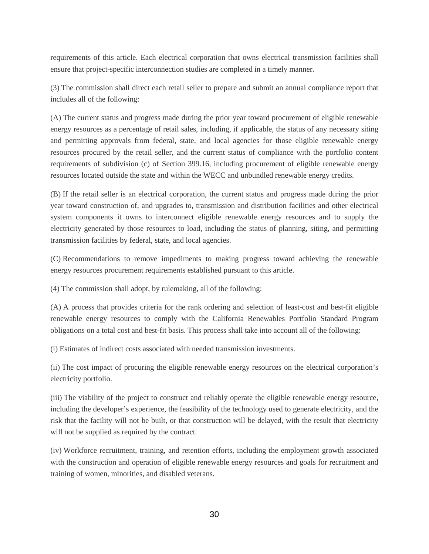requirements of this article. Each electrical corporation that owns electrical transmission facilities shall ensure that project-specific interconnection studies are completed in a timely manner.

(3) The commission shall direct each retail seller to prepare and submit an annual compliance report that includes all of the following:

(A) The current status and progress made during the prior year toward procurement of eligible renewable energy resources as a percentage of retail sales, including, if applicable, the status of any necessary siting and permitting approvals from federal, state, and local agencies for those eligible renewable energy resources procured by the retail seller, and the current status of compliance with the portfolio content requirements of subdivision (c) of Section 399.16, including procurement of eligible renewable energy resources located outside the state and within the WECC and unbundled renewable energy credits.

(B) If the retail seller is an electrical corporation, the current status and progress made during the prior year toward construction of, and upgrades to, transmission and distribution facilities and other electrical system components it owns to interconnect eligible renewable energy resources and to supply the electricity generated by those resources to load, including the status of planning, siting, and permitting transmission facilities by federal, state, and local agencies.

(C) Recommendations to remove impediments to making progress toward achieving the renewable energy resources procurement requirements established pursuant to this article.

(4) The commission shall adopt, by rulemaking, all of the following:

(A) A process that provides criteria for the rank ordering and selection of least-cost and best-fit eligible renewable energy resources to comply with the California Renewables Portfolio Standard Program obligations on a total cost and best-fit basis. This process shall take into account all of the following:

(i) Estimates of indirect costs associated with needed transmission investments.

(ii) The cost impact of procuring the eligible renewable energy resources on the electrical corporation's electricity portfolio.

(iii) The viability of the project to construct and reliably operate the eligible renewable energy resource, including the developer's experience, the feasibility of the technology used to generate electricity, and the risk that the facility will not be built, or that construction will be delayed, with the result that electricity will not be supplied as required by the contract.

(iv) Workforce recruitment, training, and retention efforts, including the employment growth associated with the construction and operation of eligible renewable energy resources and goals for recruitment and training of women, minorities, and disabled veterans.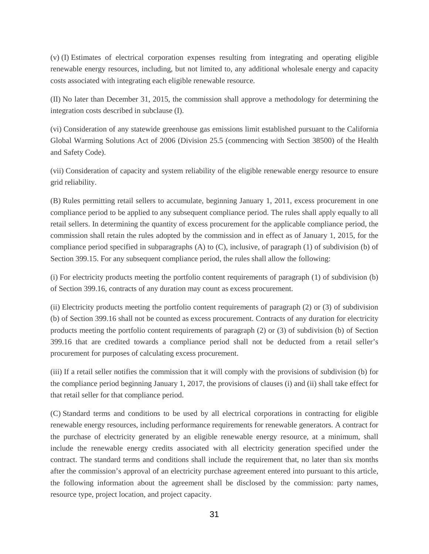(v) (I) Estimates of electrical corporation expenses resulting from integrating and operating eligible renewable energy resources, including, but not limited to, any additional wholesale energy and capacity costs associated with integrating each eligible renewable resource.

(II) No later than December 31, 2015, the commission shall approve a methodology for determining the integration costs described in subclause (I).

(vi) Consideration of any statewide greenhouse gas emissions limit established pursuant to the California Global Warming Solutions Act of 2006 (Division 25.5 (commencing with Section 38500) of the Health and Safety Code).

(vii) Consideration of capacity and system reliability of the eligible renewable energy resource to ensure grid reliability.

(B) Rules permitting retail sellers to accumulate, beginning January 1, 2011, excess procurement in one compliance period to be applied to any subsequent compliance period. The rules shall apply equally to all retail sellers. In determining the quantity of excess procurement for the applicable compliance period, the commission shall retain the rules adopted by the commission and in effect as of January 1, 2015, for the compliance period specified in subparagraphs (A) to (C), inclusive, of paragraph (1) of subdivision (b) of Section 399.15. For any subsequent compliance period, the rules shall allow the following:

(i) For electricity products meeting the portfolio content requirements of paragraph (1) of subdivision (b) of Section 399.16, contracts of any duration may count as excess procurement.

(ii) Electricity products meeting the portfolio content requirements of paragraph (2) or (3) of subdivision (b) of Section 399.16 shall not be counted as excess procurement. Contracts of any duration for electricity products meeting the portfolio content requirements of paragraph (2) or (3) of subdivision (b) of Section 399.16 that are credited towards a compliance period shall not be deducted from a retail seller's procurement for purposes of calculating excess procurement.

(iii) If a retail seller notifies the commission that it will comply with the provisions of subdivision (b) for the compliance period beginning January 1, 2017, the provisions of clauses (i) and (ii) shall take effect for that retail seller for that compliance period.

(C) Standard terms and conditions to be used by all electrical corporations in contracting for eligible renewable energy resources, including performance requirements for renewable generators. A contract for the purchase of electricity generated by an eligible renewable energy resource, at a minimum, shall include the renewable energy credits associated with all electricity generation specified under the contract. The standard terms and conditions shall include the requirement that, no later than six months after the commission's approval of an electricity purchase agreement entered into pursuant to this article, the following information about the agreement shall be disclosed by the commission: party names, resource type, project location, and project capacity.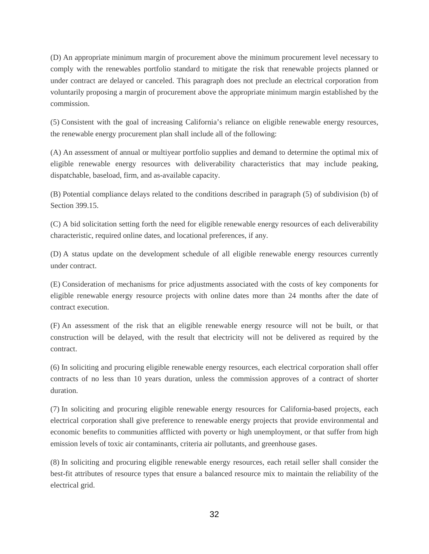(D) An appropriate minimum margin of procurement above the minimum procurement level necessary to comply with the renewables portfolio standard to mitigate the risk that renewable projects planned or under contract are delayed or canceled. This paragraph does not preclude an electrical corporation from voluntarily proposing a margin of procurement above the appropriate minimum margin established by the commission.

(5) Consistent with the goal of increasing California's reliance on eligible renewable energy resources, the renewable energy procurement plan shall include all of the following:

(A) An assessment of annual or multiyear portfolio supplies and demand to determine the optimal mix of eligible renewable energy resources with deliverability characteristics that may include peaking, dispatchable, baseload, firm, and as-available capacity.

(B) Potential compliance delays related to the conditions described in paragraph (5) of subdivision (b) of Section 399.15.

(C) A bid solicitation setting forth the need for eligible renewable energy resources of each deliverability characteristic, required online dates, and locational preferences, if any.

(D) A status update on the development schedule of all eligible renewable energy resources currently under contract.

(E) Consideration of mechanisms for price adjustments associated with the costs of key components for eligible renewable energy resource projects with online dates more than 24 months after the date of contract execution.

(F) An assessment of the risk that an eligible renewable energy resource will not be built, or that construction will be delayed, with the result that electricity will not be delivered as required by the contract.

(6) In soliciting and procuring eligible renewable energy resources, each electrical corporation shall offer contracts of no less than 10 years duration, unless the commission approves of a contract of shorter duration.

(7) In soliciting and procuring eligible renewable energy resources for California-based projects, each electrical corporation shall give preference to renewable energy projects that provide environmental and economic benefits to communities afflicted with poverty or high unemployment, or that suffer from high emission levels of toxic air contaminants, criteria air pollutants, and greenhouse gases.

(8) In soliciting and procuring eligible renewable energy resources, each retail seller shall consider the best-fit attributes of resource types that ensure a balanced resource mix to maintain the reliability of the electrical grid.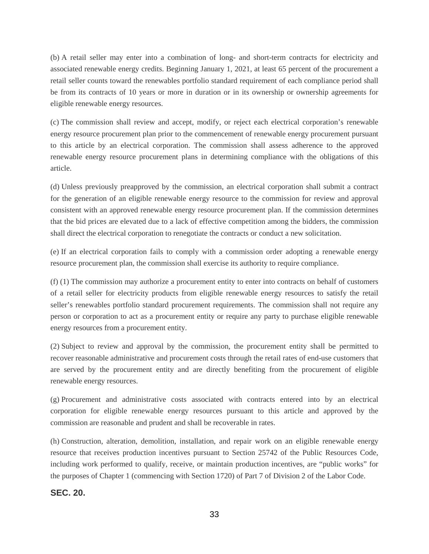(b) A retail seller may enter into a combination of long- and short-term contracts for electricity and associated renewable energy credits. Beginning January 1, 2021, at least 65 percent of the procurement a retail seller counts toward the renewables portfolio standard requirement of each compliance period shall be from its contracts of 10 years or more in duration or in its ownership or ownership agreements for eligible renewable energy resources.

(c) The commission shall review and accept, modify, or reject each electrical corporation's renewable energy resource procurement plan prior to the commencement of renewable energy procurement pursuant to this article by an electrical corporation. The commission shall assess adherence to the approved renewable energy resource procurement plans in determining compliance with the obligations of this article.

(d) Unless previously preapproved by the commission, an electrical corporation shall submit a contract for the generation of an eligible renewable energy resource to the commission for review and approval consistent with an approved renewable energy resource procurement plan. If the commission determines that the bid prices are elevated due to a lack of effective competition among the bidders, the commission shall direct the electrical corporation to renegotiate the contracts or conduct a new solicitation.

(e) If an electrical corporation fails to comply with a commission order adopting a renewable energy resource procurement plan, the commission shall exercise its authority to require compliance.

(f) (1) The commission may authorize a procurement entity to enter into contracts on behalf of customers of a retail seller for electricity products from eligible renewable energy resources to satisfy the retail seller's renewables portfolio standard procurement requirements. The commission shall not require any person or corporation to act as a procurement entity or require any party to purchase eligible renewable energy resources from a procurement entity.

(2) Subject to review and approval by the commission, the procurement entity shall be permitted to recover reasonable administrative and procurement costs through the retail rates of end-use customers that are served by the procurement entity and are directly benefiting from the procurement of eligible renewable energy resources.

(g) Procurement and administrative costs associated with contracts entered into by an electrical corporation for eligible renewable energy resources pursuant to this article and approved by the commission are reasonable and prudent and shall be recoverable in rates.

(h) Construction, alteration, demolition, installation, and repair work on an eligible renewable energy resource that receives production incentives pursuant to Section 25742 of the Public Resources Code, including work performed to qualify, receive, or maintain production incentives, are "public works" for the purposes of Chapter 1 (commencing with Section 1720) of Part 7 of Division 2 of the Labor Code.

### **SEC. 20.**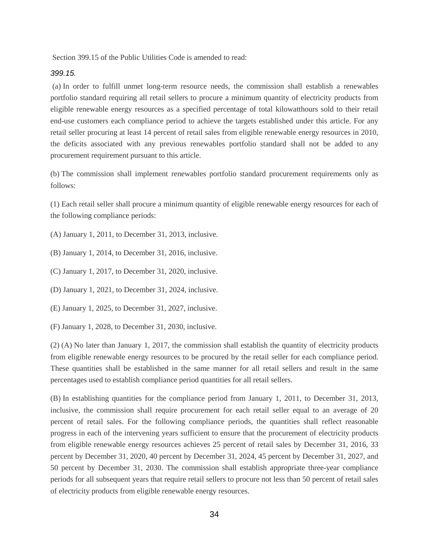Section 399.15 of the Public Utilities Code is amended to read:

#### *399.15.*

(a) In order to fulfill unmet long-term resource needs, the commission shall establish a renewables portfolio standard requiring all retail sellers to procure a minimum quantity of electricity products from eligible renewable energy resources as a specified percentage of total kilowatthours sold to their retail end-use customers each compliance period to achieve the targets established under this article. For any retail seller procuring at least 14 percent of retail sales from eligible renewable energy resources in 2010, the deficits associated with any previous renewables portfolio standard shall not be added to any procurement requirement pursuant to this article.

(b) The commission shall implement renewables portfolio standard procurement requirements only as follows:

(1) Each retail seller shall procure a minimum quantity of eligible renewable energy resources for each of the following compliance periods:

(A) January 1, 2011, to December 31, 2013, inclusive.

(B) January 1, 2014, to December 31, 2016, inclusive.

(C) January 1, 2017, to December 31, 2020, inclusive.

(D) January 1, 2021, to December 31, 2024, inclusive.

(E) January 1, 2025, to December 31, 2027, inclusive.

(F) January 1, 2028, to December 31, 2030, inclusive.

(2) (A) No later than January 1, 2017, the commission shall establish the quantity of electricity products from eligible renewable energy resources to be procured by the retail seller for each compliance period. These quantities shall be established in the same manner for all retail sellers and result in the same percentages used to establish compliance period quantities for all retail sellers.

(B) In establishing quantities for the compliance period from January 1, 2011, to December 31, 2013, inclusive, the commission shall require procurement for each retail seller equal to an average of 20 percent of retail sales. For the following compliance periods, the quantities shall reflect reasonable progress in each of the intervening years sufficient to ensure that the procurement of electricity products from eligible renewable energy resources achieves 25 percent of retail sales by December 31, 2016, 33 percent by December 31, 2020, 40 percent by December 31, 2024, 45 percent by December 31, 2027, and 50 percent by December 31, 2030. The commission shall establish appropriate three-year compliance periods for all subsequent years that require retail sellers to procure not less than 50 percent of retail sales of electricity products from eligible renewable energy resources.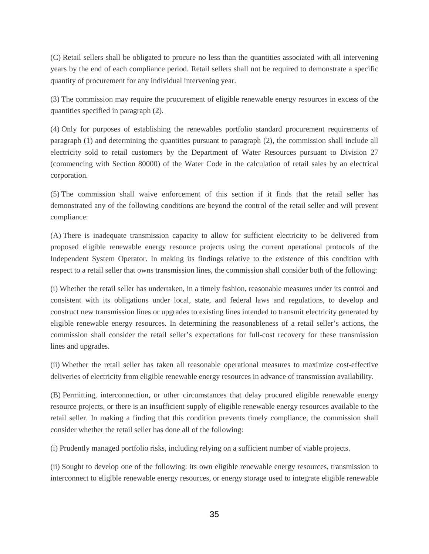(C) Retail sellers shall be obligated to procure no less than the quantities associated with all intervening years by the end of each compliance period. Retail sellers shall not be required to demonstrate a specific quantity of procurement for any individual intervening year.

(3) The commission may require the procurement of eligible renewable energy resources in excess of the quantities specified in paragraph (2).

(4) Only for purposes of establishing the renewables portfolio standard procurement requirements of paragraph (1) and determining the quantities pursuant to paragraph (2), the commission shall include all electricity sold to retail customers by the Department of Water Resources pursuant to Division 27 (commencing with Section 80000) of the Water Code in the calculation of retail sales by an electrical corporation.

(5) The commission shall waive enforcement of this section if it finds that the retail seller has demonstrated any of the following conditions are beyond the control of the retail seller and will prevent compliance:

(A) There is inadequate transmission capacity to allow for sufficient electricity to be delivered from proposed eligible renewable energy resource projects using the current operational protocols of the Independent System Operator. In making its findings relative to the existence of this condition with respect to a retail seller that owns transmission lines, the commission shall consider both of the following:

(i) Whether the retail seller has undertaken, in a timely fashion, reasonable measures under its control and consistent with its obligations under local, state, and federal laws and regulations, to develop and construct new transmission lines or upgrades to existing lines intended to transmit electricity generated by eligible renewable energy resources. In determining the reasonableness of a retail seller's actions, the commission shall consider the retail seller's expectations for full-cost recovery for these transmission lines and upgrades.

(ii) Whether the retail seller has taken all reasonable operational measures to maximize cost-effective deliveries of electricity from eligible renewable energy resources in advance of transmission availability.

(B) Permitting, interconnection, or other circumstances that delay procured eligible renewable energy resource projects, or there is an insufficient supply of eligible renewable energy resources available to the retail seller. In making a finding that this condition prevents timely compliance, the commission shall consider whether the retail seller has done all of the following:

(i) Prudently managed portfolio risks, including relying on a sufficient number of viable projects.

(ii) Sought to develop one of the following: its own eligible renewable energy resources, transmission to interconnect to eligible renewable energy resources, or energy storage used to integrate eligible renewable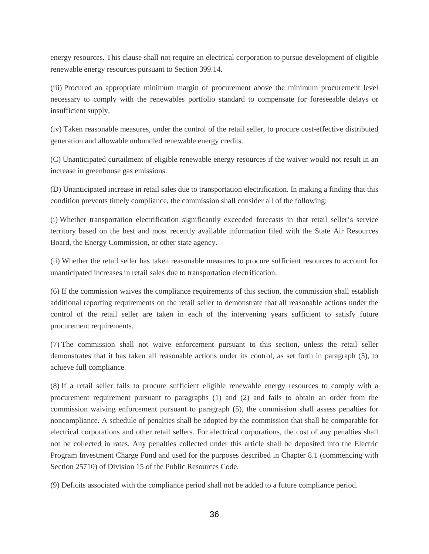energy resources. This clause shall not require an electrical corporation to pursue development of eligible renewable energy resources pursuant to Section 399.14.

(iii) Procured an appropriate minimum margin of procurement above the minimum procurement level necessary to comply with the renewables portfolio standard to compensate for foreseeable delays or insufficient supply.

(iv) Taken reasonable measures, under the control of the retail seller, to procure cost-effective distributed generation and allowable unbundled renewable energy credits.

(C) Unanticipated curtailment of eligible renewable energy resources if the waiver would not result in an increase in greenhouse gas emissions.

(D) Unanticipated increase in retail sales due to transportation electrification. In making a finding that this condition prevents timely compliance, the commission shall consider all of the following:

(i) Whether transportation electrification significantly exceeded forecasts in that retail seller's service territory based on the best and most recently available information filed with the State Air Resources Board, the Energy Commission, or other state agency.

(ii) Whether the retail seller has taken reasonable measures to procure sufficient resources to account for unanticipated increases in retail sales due to transportation electrification.

(6) If the commission waives the compliance requirements of this section, the commission shall establish additional reporting requirements on the retail seller to demonstrate that all reasonable actions under the control of the retail seller are taken in each of the intervening years sufficient to satisfy future procurement requirements.

(7) The commission shall not waive enforcement pursuant to this section, unless the retail seller demonstrates that it has taken all reasonable actions under its control, as set forth in paragraph (5), to achieve full compliance.

(8) If a retail seller fails to procure sufficient eligible renewable energy resources to comply with a procurement requirement pursuant to paragraphs (1) and (2) and fails to obtain an order from the commission waiving enforcement pursuant to paragraph (5), the commission shall assess penalties for noncompliance. A schedule of penalties shall be adopted by the commission that shall be comparable for electrical corporations and other retail sellers. For electrical corporations, the cost of any penalties shall not be collected in rates. Any penalties collected under this article shall be deposited into the Electric Program Investment Charge Fund and used for the purposes described in Chapter 8.1 (commencing with Section 25710) of Division 15 of the Public Resources Code.

(9) Deficits associated with the compliance period shall not be added to a future compliance period.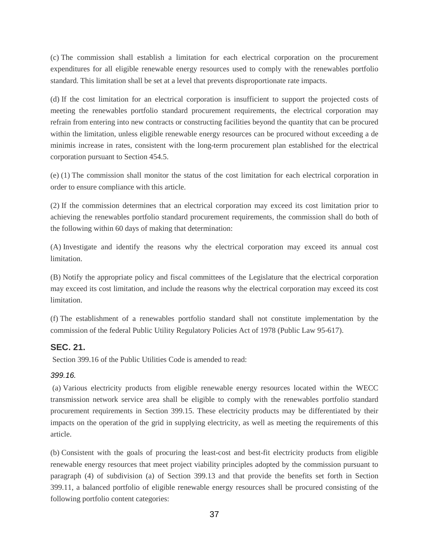(c) The commission shall establish a limitation for each electrical corporation on the procurement expenditures for all eligible renewable energy resources used to comply with the renewables portfolio standard. This limitation shall be set at a level that prevents disproportionate rate impacts.

(d) If the cost limitation for an electrical corporation is insufficient to support the projected costs of meeting the renewables portfolio standard procurement requirements, the electrical corporation may refrain from entering into new contracts or constructing facilities beyond the quantity that can be procured within the limitation, unless eligible renewable energy resources can be procured without exceeding a de minimis increase in rates, consistent with the long-term procurement plan established for the electrical corporation pursuant to Section 454.5.

(e) (1) The commission shall monitor the status of the cost limitation for each electrical corporation in order to ensure compliance with this article.

(2) If the commission determines that an electrical corporation may exceed its cost limitation prior to achieving the renewables portfolio standard procurement requirements, the commission shall do both of the following within 60 days of making that determination:

(A) Investigate and identify the reasons why the electrical corporation may exceed its annual cost limitation.

(B) Notify the appropriate policy and fiscal committees of the Legislature that the electrical corporation may exceed its cost limitation, and include the reasons why the electrical corporation may exceed its cost limitation.

(f) The establishment of a renewables portfolio standard shall not constitute implementation by the commission of the federal Public Utility Regulatory Policies Act of 1978 (Public Law 95-617).

### **SEC. 21.**

Section 399.16 of the Public Utilities Code is amended to read:

#### *399.16.*

(a) Various electricity products from eligible renewable energy resources located within the WECC transmission network service area shall be eligible to comply with the renewables portfolio standard procurement requirements in Section 399.15. These electricity products may be differentiated by their impacts on the operation of the grid in supplying electricity, as well as meeting the requirements of this article.

(b) Consistent with the goals of procuring the least-cost and best-fit electricity products from eligible renewable energy resources that meet project viability principles adopted by the commission pursuant to paragraph (4) of subdivision (a) of Section 399.13 and that provide the benefits set forth in Section 399.11, a balanced portfolio of eligible renewable energy resources shall be procured consisting of the following portfolio content categories: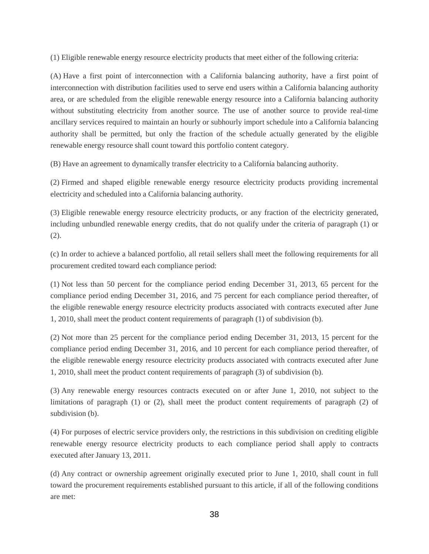(1) Eligible renewable energy resource electricity products that meet either of the following criteria:

(A) Have a first point of interconnection with a California balancing authority, have a first point of interconnection with distribution facilities used to serve end users within a California balancing authority area, or are scheduled from the eligible renewable energy resource into a California balancing authority without substituting electricity from another source. The use of another source to provide real-time ancillary services required to maintain an hourly or subhourly import schedule into a California balancing authority shall be permitted, but only the fraction of the schedule actually generated by the eligible renewable energy resource shall count toward this portfolio content category.

(B) Have an agreement to dynamically transfer electricity to a California balancing authority.

(2) Firmed and shaped eligible renewable energy resource electricity products providing incremental electricity and scheduled into a California balancing authority.

(3) Eligible renewable energy resource electricity products, or any fraction of the electricity generated, including unbundled renewable energy credits, that do not qualify under the criteria of paragraph (1) or (2).

(c) In order to achieve a balanced portfolio, all retail sellers shall meet the following requirements for all procurement credited toward each compliance period:

(1) Not less than 50 percent for the compliance period ending December 31, 2013, 65 percent for the compliance period ending December 31, 2016, and 75 percent for each compliance period thereafter, of the eligible renewable energy resource electricity products associated with contracts executed after June 1, 2010, shall meet the product content requirements of paragraph (1) of subdivision (b).

(2) Not more than 25 percent for the compliance period ending December 31, 2013, 15 percent for the compliance period ending December 31, 2016, and 10 percent for each compliance period thereafter, of the eligible renewable energy resource electricity products associated with contracts executed after June 1, 2010, shall meet the product content requirements of paragraph (3) of subdivision (b).

(3) Any renewable energy resources contracts executed on or after June 1, 2010, not subject to the limitations of paragraph (1) or (2), shall meet the product content requirements of paragraph (2) of subdivision (b).

(4) For purposes of electric service providers only, the restrictions in this subdivision on crediting eligible renewable energy resource electricity products to each compliance period shall apply to contracts executed after January 13, 2011.

(d) Any contract or ownership agreement originally executed prior to June 1, 2010, shall count in full toward the procurement requirements established pursuant to this article, if all of the following conditions are met: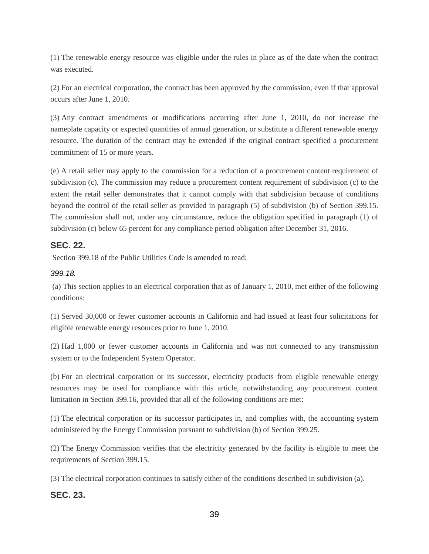(1) The renewable energy resource was eligible under the rules in place as of the date when the contract was executed.

(2) For an electrical corporation, the contract has been approved by the commission, even if that approval occurs after June 1, 2010.

(3) Any contract amendments or modifications occurring after June 1, 2010, do not increase the nameplate capacity or expected quantities of annual generation, or substitute a different renewable energy resource. The duration of the contract may be extended if the original contract specified a procurement commitment of 15 or more years.

(e) A retail seller may apply to the commission for a reduction of a procurement content requirement of subdivision (c). The commission may reduce a procurement content requirement of subdivision (c) to the extent the retail seller demonstrates that it cannot comply with that subdivision because of conditions beyond the control of the retail seller as provided in paragraph (5) of subdivision (b) of Section 399.15. The commission shall not, under any circumstance, reduce the obligation specified in paragraph (1) of subdivision (c) below 65 percent for any compliance period obligation after December 31, 2016.

### **SEC. 22.**

Section 399.18 of the Public Utilities Code is amended to read:

### *399.18.*

(a) This section applies to an electrical corporation that as of January 1, 2010, met either of the following conditions:

(1) Served 30,000 or fewer customer accounts in California and had issued at least four solicitations for eligible renewable energy resources prior to June 1, 2010.

(2) Had 1,000 or fewer customer accounts in California and was not connected to any transmission system or to the Independent System Operator.

(b) For an electrical corporation or its successor, electricity products from eligible renewable energy resources may be used for compliance with this article, notwithstanding any procurement content limitation in Section 399.16, provided that all of the following conditions are met:

(1) The electrical corporation or its successor participates in, and complies with, the accounting system administered by the Energy Commission pursuant to subdivision (b) of Section 399.25.

(2) The Energy Commission verifies that the electricity generated by the facility is eligible to meet the requirements of Section 399.15.

(3) The electrical corporation continues to satisfy either of the conditions described in subdivision (a).

### **SEC. 23.**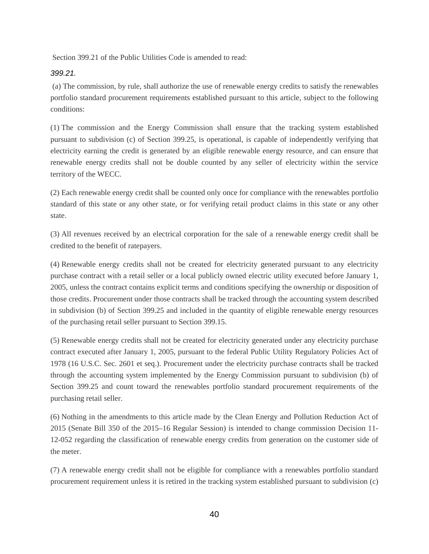Section 399.21 of the Public Utilities Code is amended to read:

#### *399.21.*

 (a) The commission, by rule, shall authorize the use of renewable energy credits to satisfy the renewables portfolio standard procurement requirements established pursuant to this article, subject to the following conditions:

(1) The commission and the Energy Commission shall ensure that the tracking system established pursuant to subdivision (c) of Section 399.25, is operational, is capable of independently verifying that electricity earning the credit is generated by an eligible renewable energy resource, and can ensure that renewable energy credits shall not be double counted by any seller of electricity within the service territory of the WECC.

(2) Each renewable energy credit shall be counted only once for compliance with the renewables portfolio standard of this state or any other state, or for verifying retail product claims in this state or any other state.

(3) All revenues received by an electrical corporation for the sale of a renewable energy credit shall be credited to the benefit of ratepayers.

(4) Renewable energy credits shall not be created for electricity generated pursuant to any electricity purchase contract with a retail seller or a local publicly owned electric utility executed before January 1, 2005, unless the contract contains explicit terms and conditions specifying the ownership or disposition of those credits. Procurement under those contracts shall be tracked through the accounting system described in subdivision (b) of Section 399.25 and included in the quantity of eligible renewable energy resources of the purchasing retail seller pursuant to Section 399.15.

(5) Renewable energy credits shall not be created for electricity generated under any electricity purchase contract executed after January 1, 2005, pursuant to the federal Public Utility Regulatory Policies Act of 1978 (16 U.S.C. Sec. 2601 et seq.). Procurement under the electricity purchase contracts shall be tracked through the accounting system implemented by the Energy Commission pursuant to subdivision (b) of Section 399.25 and count toward the renewables portfolio standard procurement requirements of the purchasing retail seller.

(6) Nothing in the amendments to this article made by the Clean Energy and Pollution Reduction Act of 2015 (Senate Bill 350 of the 2015–16 Regular Session) is intended to change commission Decision 11- 12-052 regarding the classification of renewable energy credits from generation on the customer side of the meter.

(7) A renewable energy credit shall not be eligible for compliance with a renewables portfolio standard procurement requirement unless it is retired in the tracking system established pursuant to subdivision (c)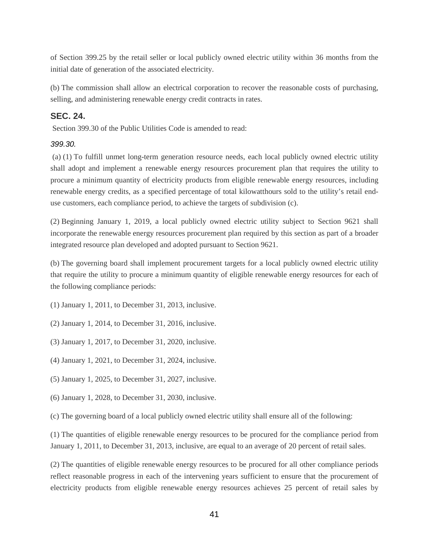of Section 399.25 by the retail seller or local publicly owned electric utility within 36 months from the initial date of generation of the associated electricity.

(b) The commission shall allow an electrical corporation to recover the reasonable costs of purchasing, selling, and administering renewable energy credit contracts in rates.

### **SEC. 24.**

Section 399.30 of the Public Utilities Code is amended to read:

#### *399.30.*

(a) (1) To fulfill unmet long-term generation resource needs, each local publicly owned electric utility shall adopt and implement a renewable energy resources procurement plan that requires the utility to procure a minimum quantity of electricity products from eligible renewable energy resources, including renewable energy credits, as a specified percentage of total kilowatthours sold to the utility's retail enduse customers, each compliance period, to achieve the targets of subdivision (c).

(2) Beginning January 1, 2019, a local publicly owned electric utility subject to Section 9621 shall incorporate the renewable energy resources procurement plan required by this section as part of a broader integrated resource plan developed and adopted pursuant to Section 9621.

(b) The governing board shall implement procurement targets for a local publicly owned electric utility that require the utility to procure a minimum quantity of eligible renewable energy resources for each of the following compliance periods:

(1) January 1, 2011, to December 31, 2013, inclusive.

(2) January 1, 2014, to December 31, 2016, inclusive.

(3) January 1, 2017, to December 31, 2020, inclusive.

(4) January 1, 2021, to December 31, 2024, inclusive.

(5) January 1, 2025, to December 31, 2027, inclusive.

(6) January 1, 2028, to December 31, 2030, inclusive.

(c) The governing board of a local publicly owned electric utility shall ensure all of the following:

(1) The quantities of eligible renewable energy resources to be procured for the compliance period from January 1, 2011, to December 31, 2013, inclusive, are equal to an average of 20 percent of retail sales.

(2) The quantities of eligible renewable energy resources to be procured for all other compliance periods reflect reasonable progress in each of the intervening years sufficient to ensure that the procurement of electricity products from eligible renewable energy resources achieves 25 percent of retail sales by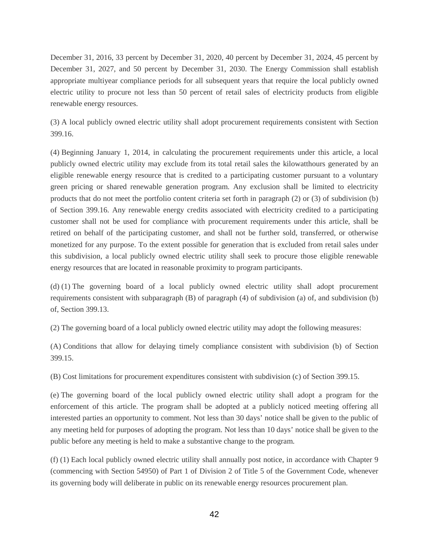December 31, 2016, 33 percent by December 31, 2020, 40 percent by December 31, 2024, 45 percent by December 31, 2027, and 50 percent by December 31, 2030. The Energy Commission shall establish appropriate multiyear compliance periods for all subsequent years that require the local publicly owned electric utility to procure not less than 50 percent of retail sales of electricity products from eligible renewable energy resources.

(3) A local publicly owned electric utility shall adopt procurement requirements consistent with Section 399.16.

(4) Beginning January 1, 2014, in calculating the procurement requirements under this article, a local publicly owned electric utility may exclude from its total retail sales the kilowatthours generated by an eligible renewable energy resource that is credited to a participating customer pursuant to a voluntary green pricing or shared renewable generation program. Any exclusion shall be limited to electricity products that do not meet the portfolio content criteria set forth in paragraph (2) or (3) of subdivision (b) of Section 399.16. Any renewable energy credits associated with electricity credited to a participating customer shall not be used for compliance with procurement requirements under this article, shall be retired on behalf of the participating customer, and shall not be further sold, transferred, or otherwise monetized for any purpose. To the extent possible for generation that is excluded from retail sales under this subdivision, a local publicly owned electric utility shall seek to procure those eligible renewable energy resources that are located in reasonable proximity to program participants.

(d) (1) The governing board of a local publicly owned electric utility shall adopt procurement requirements consistent with subparagraph (B) of paragraph (4) of subdivision (a) of, and subdivision (b) of, Section 399.13.

(2) The governing board of a local publicly owned electric utility may adopt the following measures:

(A) Conditions that allow for delaying timely compliance consistent with subdivision (b) of Section 399.15.

(B) Cost limitations for procurement expenditures consistent with subdivision (c) of Section 399.15.

(e) The governing board of the local publicly owned electric utility shall adopt a program for the enforcement of this article. The program shall be adopted at a publicly noticed meeting offering all interested parties an opportunity to comment. Not less than 30 days' notice shall be given to the public of any meeting held for purposes of adopting the program. Not less than 10 days' notice shall be given to the public before any meeting is held to make a substantive change to the program.

(f) (1) Each local publicly owned electric utility shall annually post notice, in accordance with Chapter 9 (commencing with Section 54950) of Part 1 of Division 2 of Title 5 of the Government Code, whenever its governing body will deliberate in public on its renewable energy resources procurement plan.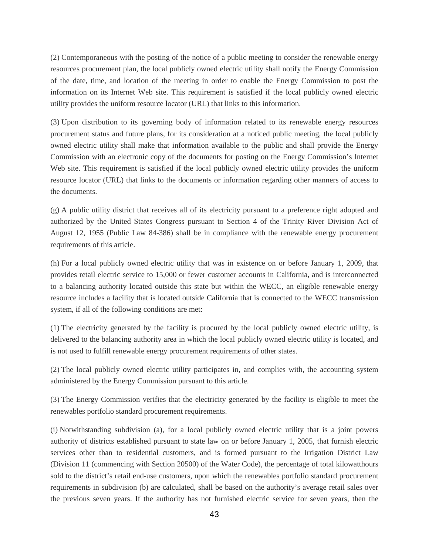(2) Contemporaneous with the posting of the notice of a public meeting to consider the renewable energy resources procurement plan, the local publicly owned electric utility shall notify the Energy Commission of the date, time, and location of the meeting in order to enable the Energy Commission to post the information on its Internet Web site. This requirement is satisfied if the local publicly owned electric utility provides the uniform resource locator (URL) that links to this information.

(3) Upon distribution to its governing body of information related to its renewable energy resources procurement status and future plans, for its consideration at a noticed public meeting, the local publicly owned electric utility shall make that information available to the public and shall provide the Energy Commission with an electronic copy of the documents for posting on the Energy Commission's Internet Web site. This requirement is satisfied if the local publicly owned electric utility provides the uniform resource locator (URL) that links to the documents or information regarding other manners of access to the documents.

(g) A public utility district that receives all of its electricity pursuant to a preference right adopted and authorized by the United States Congress pursuant to Section 4 of the Trinity River Division Act of August 12, 1955 (Public Law 84-386) shall be in compliance with the renewable energy procurement requirements of this article.

(h) For a local publicly owned electric utility that was in existence on or before January 1, 2009, that provides retail electric service to 15,000 or fewer customer accounts in California, and is interconnected to a balancing authority located outside this state but within the WECC, an eligible renewable energy resource includes a facility that is located outside California that is connected to the WECC transmission system, if all of the following conditions are met:

(1) The electricity generated by the facility is procured by the local publicly owned electric utility, is delivered to the balancing authority area in which the local publicly owned electric utility is located, and is not used to fulfill renewable energy procurement requirements of other states.

(2) The local publicly owned electric utility participates in, and complies with, the accounting system administered by the Energy Commission pursuant to this article.

(3) The Energy Commission verifies that the electricity generated by the facility is eligible to meet the renewables portfolio standard procurement requirements.

(i) Notwithstanding subdivision (a), for a local publicly owned electric utility that is a joint powers authority of districts established pursuant to state law on or before January 1, 2005, that furnish electric services other than to residential customers, and is formed pursuant to the Irrigation District Law (Division 11 (commencing with Section 20500) of the Water Code), the percentage of total kilowatthours sold to the district's retail end-use customers, upon which the renewables portfolio standard procurement requirements in subdivision (b) are calculated, shall be based on the authority's average retail sales over the previous seven years. If the authority has not furnished electric service for seven years, then the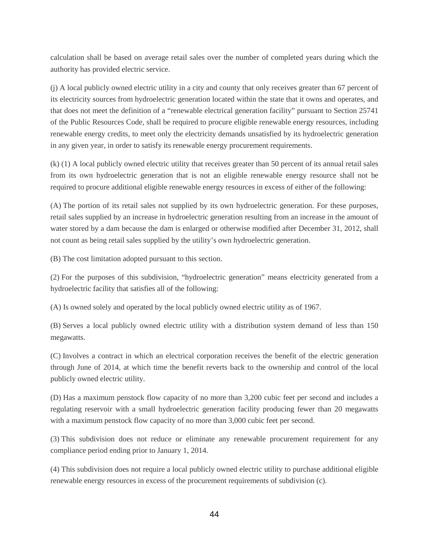calculation shall be based on average retail sales over the number of completed years during which the authority has provided electric service.

(j) A local publicly owned electric utility in a city and county that only receives greater than 67 percent of its electricity sources from hydroelectric generation located within the state that it owns and operates, and that does not meet the definition of a "renewable electrical generation facility" pursuant to Section 25741 of the Public Resources Code, shall be required to procure eligible renewable energy resources, including renewable energy credits, to meet only the electricity demands unsatisfied by its hydroelectric generation in any given year, in order to satisfy its renewable energy procurement requirements.

(k) (1) A local publicly owned electric utility that receives greater than 50 percent of its annual retail sales from its own hydroelectric generation that is not an eligible renewable energy resource shall not be required to procure additional eligible renewable energy resources in excess of either of the following:

(A) The portion of its retail sales not supplied by its own hydroelectric generation. For these purposes, retail sales supplied by an increase in hydroelectric generation resulting from an increase in the amount of water stored by a dam because the dam is enlarged or otherwise modified after December 31, 2012, shall not count as being retail sales supplied by the utility's own hydroelectric generation.

(B) The cost limitation adopted pursuant to this section.

(2) For the purposes of this subdivision, "hydroelectric generation" means electricity generated from a hydroelectric facility that satisfies all of the following:

(A) Is owned solely and operated by the local publicly owned electric utility as of 1967.

(B) Serves a local publicly owned electric utility with a distribution system demand of less than 150 megawatts.

(C) Involves a contract in which an electrical corporation receives the benefit of the electric generation through June of 2014, at which time the benefit reverts back to the ownership and control of the local publicly owned electric utility.

(D) Has a maximum penstock flow capacity of no more than 3,200 cubic feet per second and includes a regulating reservoir with a small hydroelectric generation facility producing fewer than 20 megawatts with a maximum penstock flow capacity of no more than 3,000 cubic feet per second.

(3) This subdivision does not reduce or eliminate any renewable procurement requirement for any compliance period ending prior to January 1, 2014.

(4) This subdivision does not require a local publicly owned electric utility to purchase additional eligible renewable energy resources in excess of the procurement requirements of subdivision (c).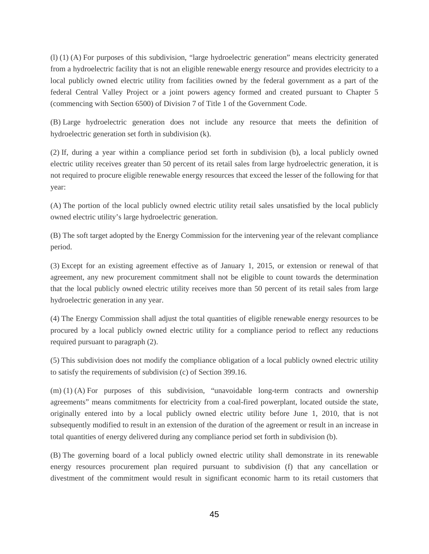(l) (1) (A) For purposes of this subdivision, "large hydroelectric generation" means electricity generated from a hydroelectric facility that is not an eligible renewable energy resource and provides electricity to a local publicly owned electric utility from facilities owned by the federal government as a part of the federal Central Valley Project or a joint powers agency formed and created pursuant to Chapter 5 (commencing with Section 6500) of Division 7 of Title 1 of the Government Code.

(B) Large hydroelectric generation does not include any resource that meets the definition of hydroelectric generation set forth in subdivision (k).

(2) If, during a year within a compliance period set forth in subdivision (b), a local publicly owned electric utility receives greater than 50 percent of its retail sales from large hydroelectric generation, it is not required to procure eligible renewable energy resources that exceed the lesser of the following for that year:

(A) The portion of the local publicly owned electric utility retail sales unsatisfied by the local publicly owned electric utility's large hydroelectric generation.

(B) The soft target adopted by the Energy Commission for the intervening year of the relevant compliance period.

(3) Except for an existing agreement effective as of January 1, 2015, or extension or renewal of that agreement, any new procurement commitment shall not be eligible to count towards the determination that the local publicly owned electric utility receives more than 50 percent of its retail sales from large hydroelectric generation in any year.

(4) The Energy Commission shall adjust the total quantities of eligible renewable energy resources to be procured by a local publicly owned electric utility for a compliance period to reflect any reductions required pursuant to paragraph (2).

(5) This subdivision does not modify the compliance obligation of a local publicly owned electric utility to satisfy the requirements of subdivision (c) of Section 399.16.

(m) (1) (A) For purposes of this subdivision, "unavoidable long-term contracts and ownership agreements" means commitments for electricity from a coal-fired powerplant, located outside the state, originally entered into by a local publicly owned electric utility before June 1, 2010, that is not subsequently modified to result in an extension of the duration of the agreement or result in an increase in total quantities of energy delivered during any compliance period set forth in subdivision (b).

(B) The governing board of a local publicly owned electric utility shall demonstrate in its renewable energy resources procurement plan required pursuant to subdivision (f) that any cancellation or divestment of the commitment would result in significant economic harm to its retail customers that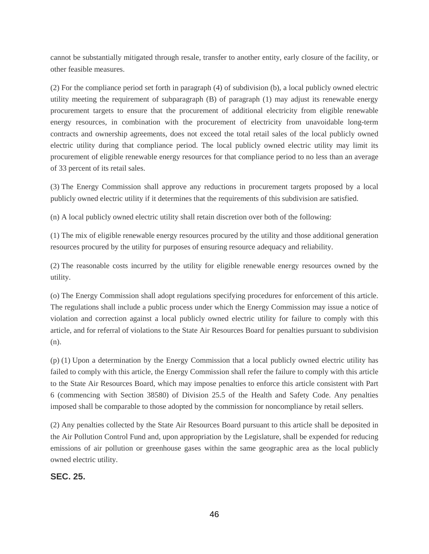cannot be substantially mitigated through resale, transfer to another entity, early closure of the facility, or other feasible measures.

(2) For the compliance period set forth in paragraph (4) of subdivision (b), a local publicly owned electric utility meeting the requirement of subparagraph (B) of paragraph (1) may adjust its renewable energy procurement targets to ensure that the procurement of additional electricity from eligible renewable energy resources, in combination with the procurement of electricity from unavoidable long-term contracts and ownership agreements, does not exceed the total retail sales of the local publicly owned electric utility during that compliance period. The local publicly owned electric utility may limit its procurement of eligible renewable energy resources for that compliance period to no less than an average of 33 percent of its retail sales.

(3) The Energy Commission shall approve any reductions in procurement targets proposed by a local publicly owned electric utility if it determines that the requirements of this subdivision are satisfied.

(n) A local publicly owned electric utility shall retain discretion over both of the following:

(1) The mix of eligible renewable energy resources procured by the utility and those additional generation resources procured by the utility for purposes of ensuring resource adequacy and reliability.

(2) The reasonable costs incurred by the utility for eligible renewable energy resources owned by the utility.

(o) The Energy Commission shall adopt regulations specifying procedures for enforcement of this article. The regulations shall include a public process under which the Energy Commission may issue a notice of violation and correction against a local publicly owned electric utility for failure to comply with this article, and for referral of violations to the State Air Resources Board for penalties pursuant to subdivision (n).

(p) (1) Upon a determination by the Energy Commission that a local publicly owned electric utility has failed to comply with this article, the Energy Commission shall refer the failure to comply with this article to the State Air Resources Board, which may impose penalties to enforce this article consistent with Part 6 (commencing with Section 38580) of Division 25.5 of the Health and Safety Code. Any penalties imposed shall be comparable to those adopted by the commission for noncompliance by retail sellers.

(2) Any penalties collected by the State Air Resources Board pursuant to this article shall be deposited in the Air Pollution Control Fund and, upon appropriation by the Legislature, shall be expended for reducing emissions of air pollution or greenhouse gases within the same geographic area as the local publicly owned electric utility.

#### **SEC. 25.**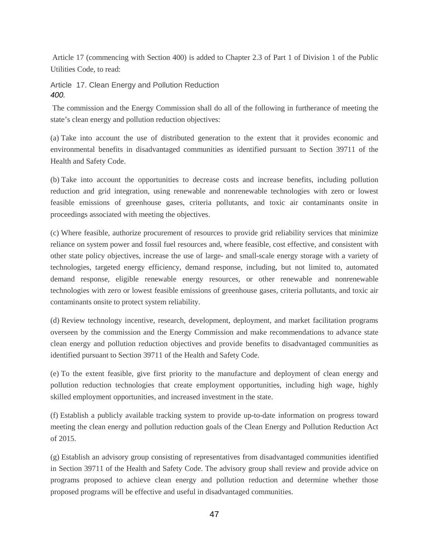Article 17 (commencing with Section 400) is added to Chapter 2.3 of Part 1 of Division 1 of the Public Utilities Code, to read:

#### Article 17. Clean Energy and Pollution Reduction *400.*

The commission and the Energy Commission shall do all of the following in furtherance of meeting the state's clean energy and pollution reduction objectives:

(a) Take into account the use of distributed generation to the extent that it provides economic and environmental benefits in disadvantaged communities as identified pursuant to Section 39711 of the Health and Safety Code.

(b) Take into account the opportunities to decrease costs and increase benefits, including pollution reduction and grid integration, using renewable and nonrenewable technologies with zero or lowest feasible emissions of greenhouse gases, criteria pollutants, and toxic air contaminants onsite in proceedings associated with meeting the objectives.

(c) Where feasible, authorize procurement of resources to provide grid reliability services that minimize reliance on system power and fossil fuel resources and, where feasible, cost effective, and consistent with other state policy objectives, increase the use of large- and small-scale energy storage with a variety of technologies, targeted energy efficiency, demand response, including, but not limited to, automated demand response, eligible renewable energy resources, or other renewable and nonrenewable technologies with zero or lowest feasible emissions of greenhouse gases, criteria pollutants, and toxic air contaminants onsite to protect system reliability.

(d) Review technology incentive, research, development, deployment, and market facilitation programs overseen by the commission and the Energy Commission and make recommendations to advance state clean energy and pollution reduction objectives and provide benefits to disadvantaged communities as identified pursuant to Section 39711 of the Health and Safety Code.

(e) To the extent feasible, give first priority to the manufacture and deployment of clean energy and pollution reduction technologies that create employment opportunities, including high wage, highly skilled employment opportunities, and increased investment in the state.

(f) Establish a publicly available tracking system to provide up-to-date information on progress toward meeting the clean energy and pollution reduction goals of the Clean Energy and Pollution Reduction Act of 2015.

(g) Establish an advisory group consisting of representatives from disadvantaged communities identified in Section 39711 of the Health and Safety Code. The advisory group shall review and provide advice on programs proposed to achieve clean energy and pollution reduction and determine whether those proposed programs will be effective and useful in disadvantaged communities.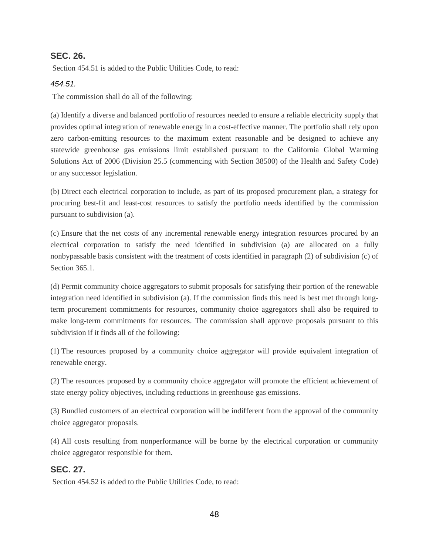### **SEC. 26.**

Section 454.51 is added to the Public Utilities Code, to read:

#### *454.51.*

The commission shall do all of the following:

(a) Identify a diverse and balanced portfolio of resources needed to ensure a reliable electricity supply that provides optimal integration of renewable energy in a cost-effective manner. The portfolio shall rely upon zero carbon-emitting resources to the maximum extent reasonable and be designed to achieve any statewide greenhouse gas emissions limit established pursuant to the California Global Warming Solutions Act of 2006 (Division 25.5 (commencing with Section 38500) of the Health and Safety Code) or any successor legislation.

(b) Direct each electrical corporation to include, as part of its proposed procurement plan, a strategy for procuring best-fit and least-cost resources to satisfy the portfolio needs identified by the commission pursuant to subdivision (a).

(c) Ensure that the net costs of any incremental renewable energy integration resources procured by an electrical corporation to satisfy the need identified in subdivision (a) are allocated on a fully nonbypassable basis consistent with the treatment of costs identified in paragraph (2) of subdivision (c) of Section 365.1.

(d) Permit community choice aggregators to submit proposals for satisfying their portion of the renewable integration need identified in subdivision (a). If the commission finds this need is best met through longterm procurement commitments for resources, community choice aggregators shall also be required to make long-term commitments for resources. The commission shall approve proposals pursuant to this subdivision if it finds all of the following:

(1) The resources proposed by a community choice aggregator will provide equivalent integration of renewable energy.

(2) The resources proposed by a community choice aggregator will promote the efficient achievement of state energy policy objectives, including reductions in greenhouse gas emissions.

(3) Bundled customers of an electrical corporation will be indifferent from the approval of the community choice aggregator proposals.

(4) All costs resulting from nonperformance will be borne by the electrical corporation or community choice aggregator responsible for them.

### **SEC. 27.**

Section 454.52 is added to the Public Utilities Code, to read: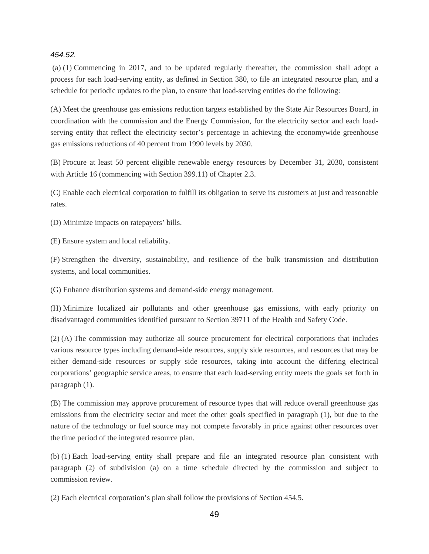#### *454.52.*

(a) (1) Commencing in 2017, and to be updated regularly thereafter, the commission shall adopt a process for each load-serving entity, as defined in Section 380, to file an integrated resource plan, and a schedule for periodic updates to the plan, to ensure that load-serving entities do the following:

(A) Meet the greenhouse gas emissions reduction targets established by the State Air Resources Board, in coordination with the commission and the Energy Commission, for the electricity sector and each loadserving entity that reflect the electricity sector's percentage in achieving the economywide greenhouse gas emissions reductions of 40 percent from 1990 levels by 2030.

(B) Procure at least 50 percent eligible renewable energy resources by December 31, 2030, consistent with Article 16 (commencing with Section 399.11) of Chapter 2.3.

(C) Enable each electrical corporation to fulfill its obligation to serve its customers at just and reasonable rates.

(D) Minimize impacts on ratepayers' bills.

(E) Ensure system and local reliability.

(F) Strengthen the diversity, sustainability, and resilience of the bulk transmission and distribution systems, and local communities.

(G) Enhance distribution systems and demand-side energy management.

(H) Minimize localized air pollutants and other greenhouse gas emissions, with early priority on disadvantaged communities identified pursuant to Section 39711 of the Health and Safety Code.

(2) (A) The commission may authorize all source procurement for electrical corporations that includes various resource types including demand-side resources, supply side resources, and resources that may be either demand-side resources or supply side resources, taking into account the differing electrical corporations' geographic service areas, to ensure that each load-serving entity meets the goals set forth in paragraph (1).

(B) The commission may approve procurement of resource types that will reduce overall greenhouse gas emissions from the electricity sector and meet the other goals specified in paragraph (1), but due to the nature of the technology or fuel source may not compete favorably in price against other resources over the time period of the integrated resource plan.

(b) (1) Each load-serving entity shall prepare and file an integrated resource plan consistent with paragraph (2) of subdivision (a) on a time schedule directed by the commission and subject to commission review.

(2) Each electrical corporation's plan shall follow the provisions of Section 454.5.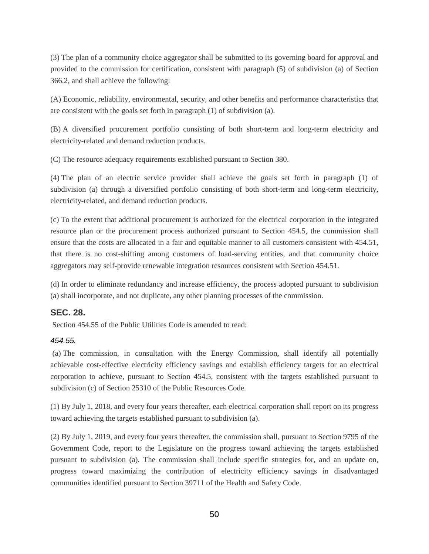(3) The plan of a community choice aggregator shall be submitted to its governing board for approval and provided to the commission for certification, consistent with paragraph (5) of subdivision (a) of Section 366.2, and shall achieve the following:

(A) Economic, reliability, environmental, security, and other benefits and performance characteristics that are consistent with the goals set forth in paragraph (1) of subdivision (a).

(B) A diversified procurement portfolio consisting of both short-term and long-term electricity and electricity-related and demand reduction products.

(C) The resource adequacy requirements established pursuant to Section 380.

(4) The plan of an electric service provider shall achieve the goals set forth in paragraph (1) of subdivision (a) through a diversified portfolio consisting of both short-term and long-term electricity, electricity-related, and demand reduction products.

(c) To the extent that additional procurement is authorized for the electrical corporation in the integrated resource plan or the procurement process authorized pursuant to Section 454.5, the commission shall ensure that the costs are allocated in a fair and equitable manner to all customers consistent with 454.51, that there is no cost-shifting among customers of load-serving entities, and that community choice aggregators may self-provide renewable integration resources consistent with Section 454.51.

(d) In order to eliminate redundancy and increase efficiency, the process adopted pursuant to subdivision (a) shall incorporate, and not duplicate, any other planning processes of the commission.

### **SEC. 28.**

Section 454.55 of the Public Utilities Code is amended to read:

#### *454.55.*

(a) The commission, in consultation with the Energy Commission, shall identify all potentially achievable cost-effective electricity efficiency savings and establish efficiency targets for an electrical corporation to achieve, pursuant to Section 454.5, consistent with the targets established pursuant to subdivision (c) of Section 25310 of the Public Resources Code.

(1) By July 1, 2018, and every four years thereafter, each electrical corporation shall report on its progress toward achieving the targets established pursuant to subdivision (a).

(2) By July 1, 2019, and every four years thereafter, the commission shall, pursuant to Section 9795 of the Government Code, report to the Legislature on the progress toward achieving the targets established pursuant to subdivision (a). The commission shall include specific strategies for, and an update on, progress toward maximizing the contribution of electricity efficiency savings in disadvantaged communities identified pursuant to Section 39711 of the Health and Safety Code.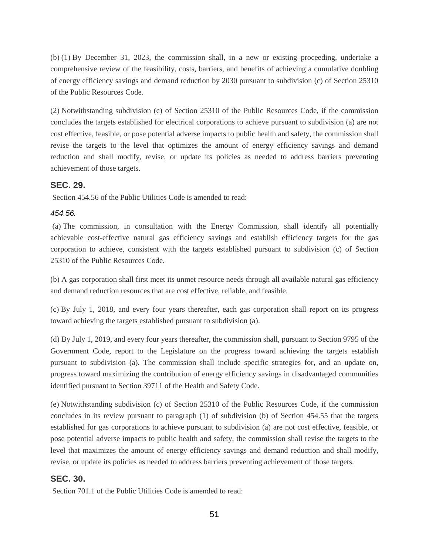(b) (1) By December 31, 2023, the commission shall, in a new or existing proceeding, undertake a comprehensive review of the feasibility, costs, barriers, and benefits of achieving a cumulative doubling of energy efficiency savings and demand reduction by 2030 pursuant to subdivision (c) of Section 25310 of the Public Resources Code.

(2) Notwithstanding subdivision (c) of Section 25310 of the Public Resources Code, if the commission concludes the targets established for electrical corporations to achieve pursuant to subdivision (a) are not cost effective, feasible, or pose potential adverse impacts to public health and safety, the commission shall revise the targets to the level that optimizes the amount of energy efficiency savings and demand reduction and shall modify, revise, or update its policies as needed to address barriers preventing achievement of those targets.

#### **SEC. 29.**

Section 454.56 of the Public Utilities Code is amended to read:

#### *454.56.*

(a) The commission, in consultation with the Energy Commission, shall identify all potentially achievable cost-effective natural gas efficiency savings and establish efficiency targets for the gas corporation to achieve, consistent with the targets established pursuant to subdivision (c) of Section 25310 of the Public Resources Code.

(b) A gas corporation shall first meet its unmet resource needs through all available natural gas efficiency and demand reduction resources that are cost effective, reliable, and feasible.

(c) By July 1, 2018, and every four years thereafter, each gas corporation shall report on its progress toward achieving the targets established pursuant to subdivision (a).

(d) By July 1, 2019, and every four years thereafter, the commission shall, pursuant to Section 9795 of the Government Code, report to the Legislature on the progress toward achieving the targets establish pursuant to subdivision (a). The commission shall include specific strategies for, and an update on, progress toward maximizing the contribution of energy efficiency savings in disadvantaged communities identified pursuant to Section 39711 of the Health and Safety Code.

(e) Notwithstanding subdivision (c) of Section 25310 of the Public Resources Code, if the commission concludes in its review pursuant to paragraph (1) of subdivision (b) of Section 454.55 that the targets established for gas corporations to achieve pursuant to subdivision (a) are not cost effective, feasible, or pose potential adverse impacts to public health and safety, the commission shall revise the targets to the level that maximizes the amount of energy efficiency savings and demand reduction and shall modify, revise, or update its policies as needed to address barriers preventing achievement of those targets.

### **SEC. 30.**

Section 701.1 of the Public Utilities Code is amended to read: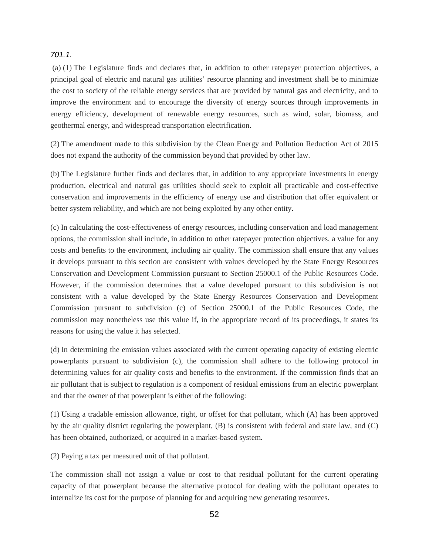#### *701.1.*

(a) (1) The Legislature finds and declares that, in addition to other ratepayer protection objectives, a principal goal of electric and natural gas utilities' resource planning and investment shall be to minimize the cost to society of the reliable energy services that are provided by natural gas and electricity, and to improve the environment and to encourage the diversity of energy sources through improvements in energy efficiency, development of renewable energy resources, such as wind, solar, biomass, and geothermal energy, and widespread transportation electrification.

(2) The amendment made to this subdivision by the Clean Energy and Pollution Reduction Act of 2015 does not expand the authority of the commission beyond that provided by other law.

(b) The Legislature further finds and declares that, in addition to any appropriate investments in energy production, electrical and natural gas utilities should seek to exploit all practicable and cost-effective conservation and improvements in the efficiency of energy use and distribution that offer equivalent or better system reliability, and which are not being exploited by any other entity.

(c) In calculating the cost-effectiveness of energy resources, including conservation and load management options, the commission shall include, in addition to other ratepayer protection objectives, a value for any costs and benefits to the environment, including air quality. The commission shall ensure that any values it develops pursuant to this section are consistent with values developed by the State Energy Resources Conservation and Development Commission pursuant to Section 25000.1 of the Public Resources Code. However, if the commission determines that a value developed pursuant to this subdivision is not consistent with a value developed by the State Energy Resources Conservation and Development Commission pursuant to subdivision (c) of Section 25000.1 of the Public Resources Code, the commission may nonetheless use this value if, in the appropriate record of its proceedings, it states its reasons for using the value it has selected.

(d) In determining the emission values associated with the current operating capacity of existing electric powerplants pursuant to subdivision (c), the commission shall adhere to the following protocol in determining values for air quality costs and benefits to the environment. If the commission finds that an air pollutant that is subject to regulation is a component of residual emissions from an electric powerplant and that the owner of that powerplant is either of the following:

(1) Using a tradable emission allowance, right, or offset for that pollutant, which (A) has been approved by the air quality district regulating the powerplant, (B) is consistent with federal and state law, and (C) has been obtained, authorized, or acquired in a market-based system.

(2) Paying a tax per measured unit of that pollutant.

The commission shall not assign a value or cost to that residual pollutant for the current operating capacity of that powerplant because the alternative protocol for dealing with the pollutant operates to internalize its cost for the purpose of planning for and acquiring new generating resources.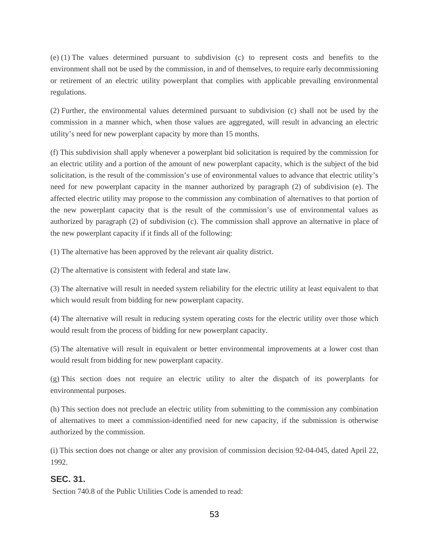(e) (1) The values determined pursuant to subdivision (c) to represent costs and benefits to the environment shall not be used by the commission, in and of themselves, to require early decommissioning or retirement of an electric utility powerplant that complies with applicable prevailing environmental regulations.

(2) Further, the environmental values determined pursuant to subdivision (c) shall not be used by the commission in a manner which, when those values are aggregated, will result in advancing an electric utility's need for new powerplant capacity by more than 15 months.

(f) This subdivision shall apply whenever a powerplant bid solicitation is required by the commission for an electric utility and a portion of the amount of new powerplant capacity, which is the subject of the bid solicitation, is the result of the commission's use of environmental values to advance that electric utility's need for new powerplant capacity in the manner authorized by paragraph (2) of subdivision (e). The affected electric utility may propose to the commission any combination of alternatives to that portion of the new powerplant capacity that is the result of the commission's use of environmental values as authorized by paragraph (2) of subdivision (c). The commission shall approve an alternative in place of the new powerplant capacity if it finds all of the following:

(1) The alternative has been approved by the relevant air quality district.

(2) The alternative is consistent with federal and state law.

(3) The alternative will result in needed system reliability for the electric utility at least equivalent to that which would result from bidding for new powerplant capacity.

(4) The alternative will result in reducing system operating costs for the electric utility over those which would result from the process of bidding for new powerplant capacity.

(5) The alternative will result in equivalent or better environmental improvements at a lower cost than would result from bidding for new powerplant capacity.

(g) This section does not require an electric utility to alter the dispatch of its powerplants for environmental purposes.

(h) This section does not preclude an electric utility from submitting to the commission any combination of alternatives to meet a commission-identified need for new capacity, if the submission is otherwise authorized by the commission.

(i) This section does not change or alter any provision of commission decision 92-04-045, dated April 22, 1992.

### **SEC. 31.**

Section 740.8 of the Public Utilities Code is amended to read: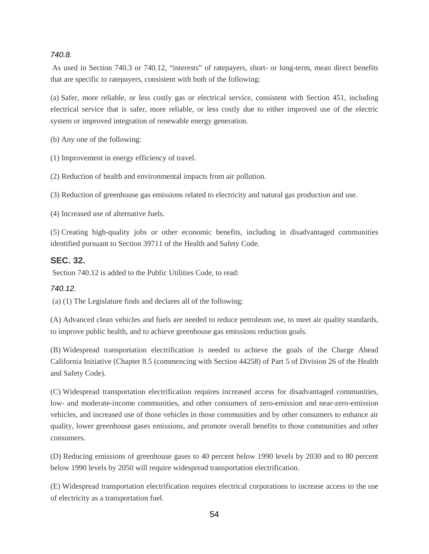#### *740.8.*

As used in Section 740.3 or 740.12, "interests" of ratepayers, short- or long-term, mean direct benefits that are specific to ratepayers, consistent with both of the following:

(a) Safer, more reliable, or less costly gas or electrical service, consistent with Section 451, including electrical service that is safer, more reliable, or less costly due to either improved use of the electric system or improved integration of renewable energy generation.

(b) Any one of the following:

(1) Improvement in energy efficiency of travel.

(2) Reduction of health and environmental impacts from air pollution.

(3) Reduction of greenhouse gas emissions related to electricity and natural gas production and use.

(4) Increased use of alternative fuels.

(5) Creating high-quality jobs or other economic benefits, including in disadvantaged communities identified pursuant to Section 39711 of the Health and Safety Code.

#### **SEC. 32.**

Section 740.12 is added to the Public Utilities Code, to read:

#### *740.12.*

(a) (1) The Legislature finds and declares all of the following:

(A) Advanced clean vehicles and fuels are needed to reduce petroleum use, to meet air quality standards, to improve public health, and to achieve greenhouse gas emissions reduction goals.

(B) Widespread transportation electrification is needed to achieve the goals of the Charge Ahead California Initiative (Chapter 8.5 (commencing with Section 44258) of Part 5 of Division 26 of the Health and Safety Code).

(C) Widespread transportation electrification requires increased access for disadvantaged communities, low- and moderate-income communities, and other consumers of zero-emission and near-zero-emission vehicles, and increased use of those vehicles in those communities and by other consumers to enhance air quality, lower greenhouse gases emissions, and promote overall benefits to those communities and other consumers.

(D) Reducing emissions of greenhouse gases to 40 percent below 1990 levels by 2030 and to 80 percent below 1990 levels by 2050 will require widespread transportation electrification.

(E) Widespread transportation electrification requires electrical corporations to increase access to the use of electricity as a transportation fuel.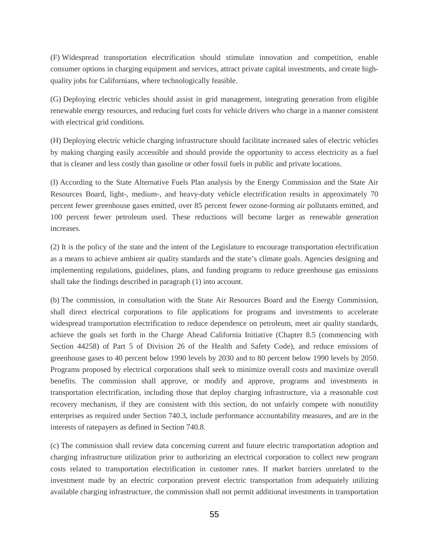(F) Widespread transportation electrification should stimulate innovation and competition, enable consumer options in charging equipment and services, attract private capital investments, and create highquality jobs for Californians, where technologically feasible.

(G) Deploying electric vehicles should assist in grid management, integrating generation from eligible renewable energy resources, and reducing fuel costs for vehicle drivers who charge in a manner consistent with electrical grid conditions.

(H) Deploying electric vehicle charging infrastructure should facilitate increased sales of electric vehicles by making charging easily accessible and should provide the opportunity to access electricity as a fuel that is cleaner and less costly than gasoline or other fossil fuels in public and private locations.

(I) According to the State Alternative Fuels Plan analysis by the Energy Commission and the State Air Resources Board, light-, medium-, and heavy-duty vehicle electrification results in approximately 70 percent fewer greenhouse gases emitted, over 85 percent fewer ozone-forming air pollutants emitted, and 100 percent fewer petroleum used. These reductions will become larger as renewable generation increases.

(2) It is the policy of the state and the intent of the Legislature to encourage transportation electrification as a means to achieve ambient air quality standards and the state's climate goals. Agencies designing and implementing regulations, guidelines, plans, and funding programs to reduce greenhouse gas emissions shall take the findings described in paragraph (1) into account.

(b) The commission, in consultation with the State Air Resources Board and the Energy Commission, shall direct electrical corporations to file applications for programs and investments to accelerate widespread transportation electrification to reduce dependence on petroleum, meet air quality standards, achieve the goals set forth in the Charge Ahead California Initiative (Chapter 8.5 (commencing with Section 44258) of Part 5 of Division 26 of the Health and Safety Code), and reduce emissions of greenhouse gases to 40 percent below 1990 levels by 2030 and to 80 percent below 1990 levels by 2050. Programs proposed by electrical corporations shall seek to minimize overall costs and maximize overall benefits. The commission shall approve, or modify and approve, programs and investments in transportation electrification, including those that deploy charging infrastructure, via a reasonable cost recovery mechanism, if they are consistent with this section, do not unfairly compete with nonutility enterprises as required under Section 740.3, include performance accountability measures, and are in the interests of ratepayers as defined in Section 740.8.

(c) The commission shall review data concerning current and future electric transportation adoption and charging infrastructure utilization prior to authorizing an electrical corporation to collect new program costs related to transportation electrification in customer rates. If market barriers unrelated to the investment made by an electric corporation prevent electric transportation from adequately utilizing available charging infrastructure, the commission shall not permit additional investments in transportation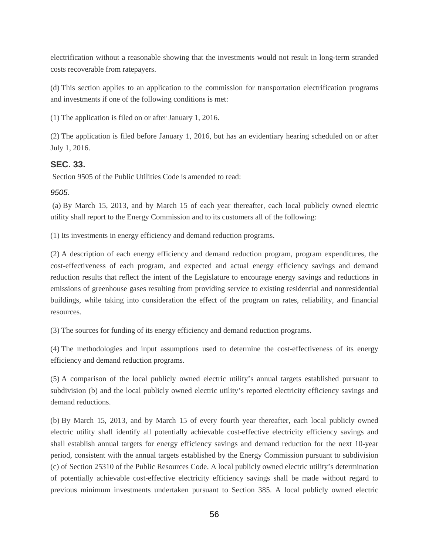electrification without a reasonable showing that the investments would not result in long-term stranded costs recoverable from ratepayers.

(d) This section applies to an application to the commission for transportation electrification programs and investments if one of the following conditions is met:

(1) The application is filed on or after January 1, 2016.

(2) The application is filed before January 1, 2016, but has an evidentiary hearing scheduled on or after July 1, 2016.

### **SEC. 33.**

Section 9505 of the Public Utilities Code is amended to read:

### *9505.*

(a) By March 15, 2013, and by March 15 of each year thereafter, each local publicly owned electric utility shall report to the Energy Commission and to its customers all of the following:

(1) Its investments in energy efficiency and demand reduction programs.

(2) A description of each energy efficiency and demand reduction program, program expenditures, the cost-effectiveness of each program, and expected and actual energy efficiency savings and demand reduction results that reflect the intent of the Legislature to encourage energy savings and reductions in emissions of greenhouse gases resulting from providing service to existing residential and nonresidential buildings, while taking into consideration the effect of the program on rates, reliability, and financial resources.

(3) The sources for funding of its energy efficiency and demand reduction programs.

(4) The methodologies and input assumptions used to determine the cost-effectiveness of its energy efficiency and demand reduction programs.

(5) A comparison of the local publicly owned electric utility's annual targets established pursuant to subdivision (b) and the local publicly owned electric utility's reported electricity efficiency savings and demand reductions.

(b) By March 15, 2013, and by March 15 of every fourth year thereafter, each local publicly owned electric utility shall identify all potentially achievable cost-effective electricity efficiency savings and shall establish annual targets for energy efficiency savings and demand reduction for the next 10-year period, consistent with the annual targets established by the Energy Commission pursuant to subdivision (c) of Section 25310 of the Public Resources Code. A local publicly owned electric utility's determination of potentially achievable cost-effective electricity efficiency savings shall be made without regard to previous minimum investments undertaken pursuant to Section 385. A local publicly owned electric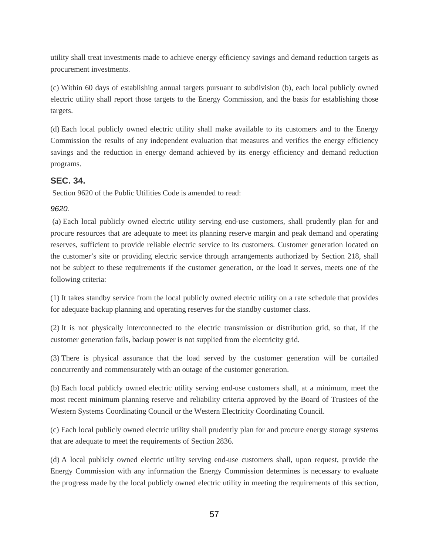utility shall treat investments made to achieve energy efficiency savings and demand reduction targets as procurement investments.

(c) Within 60 days of establishing annual targets pursuant to subdivision (b), each local publicly owned electric utility shall report those targets to the Energy Commission, and the basis for establishing those targets.

(d) Each local publicly owned electric utility shall make available to its customers and to the Energy Commission the results of any independent evaluation that measures and verifies the energy efficiency savings and the reduction in energy demand achieved by its energy efficiency and demand reduction programs.

### **SEC. 34.**

Section 9620 of the Public Utilities Code is amended to read:

### *9620.*

(a) Each local publicly owned electric utility serving end-use customers, shall prudently plan for and procure resources that are adequate to meet its planning reserve margin and peak demand and operating reserves, sufficient to provide reliable electric service to its customers. Customer generation located on the customer's site or providing electric service through arrangements authorized by Section 218, shall not be subject to these requirements if the customer generation, or the load it serves, meets one of the following criteria:

(1) It takes standby service from the local publicly owned electric utility on a rate schedule that provides for adequate backup planning and operating reserves for the standby customer class.

(2) It is not physically interconnected to the electric transmission or distribution grid, so that, if the customer generation fails, backup power is not supplied from the electricity grid.

(3) There is physical assurance that the load served by the customer generation will be curtailed concurrently and commensurately with an outage of the customer generation.

(b) Each local publicly owned electric utility serving end-use customers shall, at a minimum, meet the most recent minimum planning reserve and reliability criteria approved by the Board of Trustees of the Western Systems Coordinating Council or the Western Electricity Coordinating Council.

(c) Each local publicly owned electric utility shall prudently plan for and procure energy storage systems that are adequate to meet the requirements of Section 2836.

(d) A local publicly owned electric utility serving end-use customers shall, upon request, provide the Energy Commission with any information the Energy Commission determines is necessary to evaluate the progress made by the local publicly owned electric utility in meeting the requirements of this section,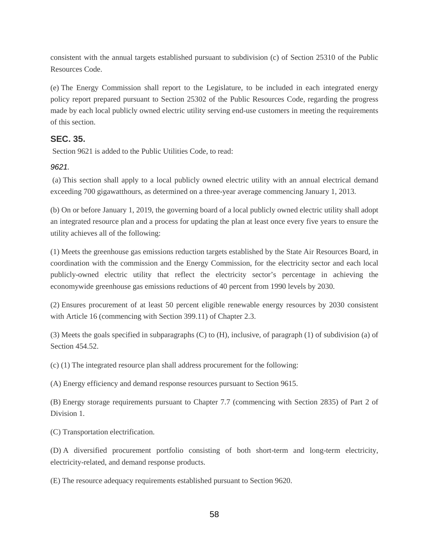consistent with the annual targets established pursuant to subdivision (c) of Section 25310 of the Public Resources Code.

(e) The Energy Commission shall report to the Legislature, to be included in each integrated energy policy report prepared pursuant to Section 25302 of the Public Resources Code, regarding the progress made by each local publicly owned electric utility serving end-use customers in meeting the requirements of this section.

### **SEC. 35.**

Section 9621 is added to the Public Utilities Code, to read:

#### *9621.*

(a) This section shall apply to a local publicly owned electric utility with an annual electrical demand exceeding 700 gigawatthours, as determined on a three-year average commencing January 1, 2013.

(b) On or before January 1, 2019, the governing board of a local publicly owned electric utility shall adopt an integrated resource plan and a process for updating the plan at least once every five years to ensure the utility achieves all of the following:

(1) Meets the greenhouse gas emissions reduction targets established by the State Air Resources Board, in coordination with the commission and the Energy Commission, for the electricity sector and each local publicly-owned electric utility that reflect the electricity sector's percentage in achieving the economywide greenhouse gas emissions reductions of 40 percent from 1990 levels by 2030.

(2) Ensures procurement of at least 50 percent eligible renewable energy resources by 2030 consistent with Article 16 (commencing with Section 399.11) of Chapter 2.3.

(3) Meets the goals specified in subparagraphs (C) to (H), inclusive, of paragraph (1) of subdivision (a) of Section 454.52.

(c) (1) The integrated resource plan shall address procurement for the following:

(A) Energy efficiency and demand response resources pursuant to Section 9615.

(B) Energy storage requirements pursuant to Chapter 7.7 (commencing with Section 2835) of Part 2 of Division 1.

(C) Transportation electrification.

(D) A diversified procurement portfolio consisting of both short-term and long-term electricity, electricity-related, and demand response products.

(E) The resource adequacy requirements established pursuant to Section 9620.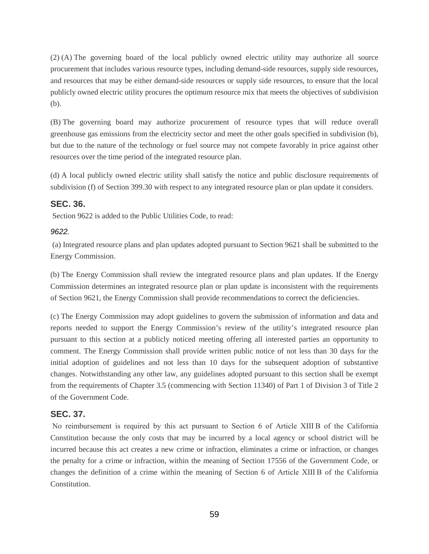(2) (A) The governing board of the local publicly owned electric utility may authorize all source procurement that includes various resource types, including demand-side resources, supply side resources, and resources that may be either demand-side resources or supply side resources, to ensure that the local publicly owned electric utility procures the optimum resource mix that meets the objectives of subdivision (b).

(B) The governing board may authorize procurement of resource types that will reduce overall greenhouse gas emissions from the electricity sector and meet the other goals specified in subdivision (b), but due to the nature of the technology or fuel source may not compete favorably in price against other resources over the time period of the integrated resource plan.

(d) A local publicly owned electric utility shall satisfy the notice and public disclosure requirements of subdivision (f) of Section 399.30 with respect to any integrated resource plan or plan update it considers.

### **SEC. 36.**

Section 9622 is added to the Public Utilities Code, to read:

#### *9622.*

(a) Integrated resource plans and plan updates adopted pursuant to Section 9621 shall be submitted to the Energy Commission.

(b) The Energy Commission shall review the integrated resource plans and plan updates. If the Energy Commission determines an integrated resource plan or plan update is inconsistent with the requirements of Section 9621, the Energy Commission shall provide recommendations to correct the deficiencies.

(c) The Energy Commission may adopt guidelines to govern the submission of information and data and reports needed to support the Energy Commission's review of the utility's integrated resource plan pursuant to this section at a publicly noticed meeting offering all interested parties an opportunity to comment. The Energy Commission shall provide written public notice of not less than 30 days for the initial adoption of guidelines and not less than 10 days for the subsequent adoption of substantive changes. Notwithstanding any other law, any guidelines adopted pursuant to this section shall be exempt from the requirements of Chapter 3.5 (commencing with Section 11340) of Part 1 of Division 3 of Title 2 of the Government Code.

### **SEC. 37.**

No reimbursement is required by this act pursuant to Section 6 of Article XIII B of the California Constitution because the only costs that may be incurred by a local agency or school district will be incurred because this act creates a new crime or infraction, eliminates a crime or infraction, or changes the penalty for a crime or infraction, within the meaning of Section 17556 of the Government Code, or changes the definition of a crime within the meaning of Section 6 of Article XIII B of the California Constitution.